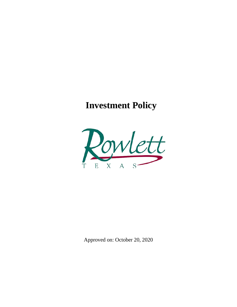# **Investment Policy**



Approved on: October 20, 2020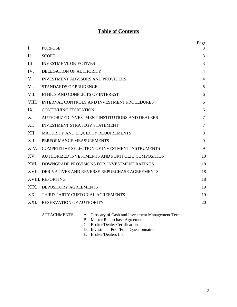## **Table of Contents**

| I.      | <b>PURPOSE</b>                                      |                                                                                                                                | Page<br>3 |
|---------|-----------------------------------------------------|--------------------------------------------------------------------------------------------------------------------------------|-----------|
| $\Pi$ . | <b>SCOPE</b>                                        |                                                                                                                                |           |
| III.    | <b>INVESTMENT OBJECTIVES</b>                        |                                                                                                                                |           |
| IV.     | DELEGATION OF AUTHORITY                             |                                                                                                                                |           |
| V.      | <b>INVESTMENT ADVISORS AND PROVIDERS</b>            |                                                                                                                                |           |
| VI.     | <b>STANDARDS OF PRUDENCE</b>                        |                                                                                                                                |           |
| VII.    |                                                     |                                                                                                                                |           |
| VIII.   | ETHICS AND CONFLICTS OF INTEREST                    |                                                                                                                                |           |
| IX.     | INTERNAL CONTROLS AND INVESTMENT PROCEDURES         |                                                                                                                                |           |
|         | <b>CONTINUING EDUCATION</b>                         |                                                                                                                                |           |
| X.      | AUTHORIZED INVESTMENT INSTITUTIONS AND DEALERS      |                                                                                                                                |           |
| XI.     | <b>INVESTMENT STRATEGY STATEMENT</b>                |                                                                                                                                |           |
| XII.    | MATURITY AND LIQUIDITY REQUIREMENTS                 |                                                                                                                                |           |
| XIII.   | PERFORMANCE MEASUREMENTS                            |                                                                                                                                |           |
| XIV.    | COMPETITIVE SELECTION OF INVESTMENT INSTRUMENTS     |                                                                                                                                |           |
| XV.     | AUTHORIZED INVESTMENTS AND PORTFOLIO COMPOSITION    |                                                                                                                                |           |
| XVI.    | DOWNGRADE PROVISIONS FOR INVESTMENT RATINGS         |                                                                                                                                |           |
|         | XVII. DERIVATIVES AND REVERSE REPURCHASE AGREEMENTS |                                                                                                                                | 18        |
|         | XVIII. REPORTING                                    |                                                                                                                                |           |
| XIX.    | DEPOSITORY AGREEMENTS                               |                                                                                                                                | 19        |
| XX.     | THIRD-PARTY CUSTODIAL AGREEMENTS                    |                                                                                                                                | 19        |
| XXI.    | RESERVATION OF AUTHORITY                            |                                                                                                                                | 20        |
|         | <b>ATTACHMENTS:</b>                                 | A. Glossary of Cash and Investment Management Terms<br><b>B.</b> Master Repurchase Agreement<br>C. Broker/Dealer Certification |           |

- D. Investment Pool/Fund Questionnaire
- E. Broker/Dealers List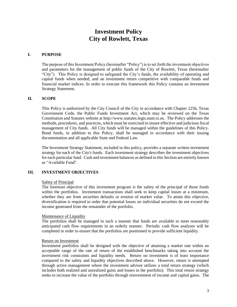## **Investment Policy City of Rowlett, Texas**

## **I. PURPOSE**

The purpose of this Investment Policy (hereinafter "Policy") is to set forth the investment objectives and parameters for the management of public funds of the City of Rowlett, Texas (hereinafter "City"). This Policy is designed to safeguard the City's funds, the availability of operating and capital funds when needed, and an investment return competitive with comparable funds and financial market indices. In order to execute this framework this Policy contains an Investment Strategy Statement.

#### **II. SCOPE**

This Policy is authorized by the City Council of the City in accordance with Chapter 2256, Texas Government Code, the Public Funds Investment Act, which may be reviewed on the Texas Constitution and Statutes website at http://www.statutes.legis.state.tx.us. The Policy addresses the methods, procedures, and practices, which must be exercised to insure effective and judicious fiscal management of City funds. All City funds will be managed within the guidelines of this Policy. Bond funds, in addition to this Policy, shall be managed in accordance with their issuing documentation and all applicable State and Federal Law.

The Investment Strategy Statement, included in this policy, provides a separate written investment strategy for each of the City's funds. Each investment strategy describes the investment objectives for each particular fund. Cash and investment balances as defined in this Section are entirely known as "Available Fund".

## **III. INVESTMENT OBJECTIVES**

#### Safety of Principal

The foremost objective of this investment program is the safety of the principal of those funds within the portfolios. Investment transactions shall seek to keep capital losses at a minimum, whether they are from securities defaults or erosion of market value. To attain this objective, diversification is required in order that potential losses on individual securities do not exceed the income generated from the remainder of the portfolio.

#### Maintenance of Liquidity

The portfolios shall be managed in such a manner that funds are available to meet reasonably anticipated cash flow requirements in an orderly manner. Periodic cash flow analyses will be completed in order to ensure that the portfolios are positioned to provide sufficient liquidity.

#### Return on Investment

Investment portfolios shall be designed with the objective of attaining a market rate within an acceptable range of the rate of return of the established benchmarks taking into account the investment risk constraints and liquidity needs. Return on investment is of least importance compared to the safety and liquidity objectives described above. However, return is attempted through active management where the investment advisor utilizes a total return strategy (which includes both realized and unrealized gains and losses in the portfolio). This total return strategy seeks to increase the value of the portfolio through reinvestment of income and capital gains. The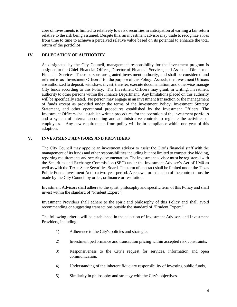core of investments is limited to relatively low risk securities in anticipation of earning a fair return relative to the risk being assumed. Despite this, an investment advisor may trade to recognize a loss from time to time to achieve a perceived relative value based on its potential to enhance the total return of the portfolios.

## **IV. DELEGATION OF AUTHORITY**

As designated by the City Council, management responsibility for the investment program is assigned to the Chief Financial Officer, Director of Financial Services, and Assistant Director of Financial Services. These persons are granted investment authority, and shall be considered and referred to as "Investment Officers" for the purpose of this Policy. As such, the Investment Officers are authorized to deposit, withdraw, invest, transfer, execute documentation, and otherwise manage City funds according to this Policy. The Investment Officers may grant, in writing, investment authority to other persons within the Finance Department. Any limitations placed on this authority will be specifically stated. No person may engage in an investment transaction or the management of funds except as provided under the terms of the Investment Policy, Investment Strategy Statement, and other operational procedures established by the Investment Officers. The Investment Officers shall establish written procedures for the operation of the investment portfolio and a system of internal accounting and administrative controls to regulate the activities of employees. Any new requirements from policy will be in compliance within one year of this adoption.

## **V. INVESTMENT ADVISORS AND PROVIDERS**

The City Council may appoint an investment advisor to assist the City's financial staff with the management of its funds and other responsibilities including but not limited to competitive bidding, reporting requirements and security documentation. The investment advisor must be registered with the Securities and Exchange Commission (SEC) under the Investment Adviser's Act of 1940 as well as with the Texas State Securities Board. The term of contract shall be limited under the Texas Public Funds Investment Act to a two-year period. A renewal or extension of the contract must be made by the City Council by order, ordinance or resolution.

Investment Advisors shall adhere to the spirit, philosophy and specific term of this Policy and shall invest within the standard of "Prudent Expert ".

Investment Providers shall adhere to the spirit and philosophy of this Policy and shall avoid recommending or suggesting transactions outside the standard of "Prudent Expert."

The following criteria will be established in the selection of Investment Advisors and Investment Providers, including:

- 1) Adherence to the City's policies and strategies
- 2) Investment performance and transaction pricing within accepted risk constraints,
- 3) Responsiveness to the City's request for services, information and open communication,
- 4) Understanding of the inherent fiduciary responsibility of investing public funds,
- 5) Similarity in philosophy and strategy with the City's objectives.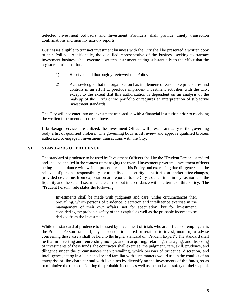Selected Investment Advisors and Investment Providers shall provide timely transaction confirmations and monthly activity reports.

Businesses eligible to transact investment business with the City shall be presented a written copy of this Policy. Additionally, the qualified representative of the business seeking to transact investment business shall execute a written instrument stating substantially to the effect that the registered principal has:

- 1) Received and thoroughly reviewed this Policy
- 2) Acknowledged that the organization has implemented reasonable procedures and controls in an effort to preclude imprudent investment activities with the City, except to the extent that this authorization is dependent on an analysis of the makeup of the City's entire portfolio or requires an interpretation of subjective investment standards.

The City will not enter into an investment transaction with a financial institution prior to receiving the written instrument described above.

If brokerage services are utilized, the Investment Officer will present annually to the governing body a list of qualified brokers. The governing body must review and approve qualified brokers authorized to engage in investment transactions with the City.

## **VI. STANDARDS OF PRUDENCE**

The standard of prudence to be used by Investment Officers shall be the "Prudent Person" standard and shall be applied in the context of managing the overall investment program. Investment officers acting in accordance with written procedures and this Policy and exercising due diligence shall be relieved of personal responsibility for an individual security's credit risk or market price changes, provided deviations from expectation are reported to the City Council in a timely fashion and the liquidity and the sale of securities are carried out in accordance with the terms of this Policy. The "Prudent Person" rule states the following:

Investments shall be made with judgment and care, under circumstances then prevailing, which persons of prudence, discretion and intelligence exercise in the management of their own affairs, not for speculation, but for investment, considering the probable safety of their capital as well as the probable income to be derived from the investment.

While the standard of prudence to be used by investment officials who are officers or employees is the Prudent Person standard, any person or firm hired or retained to invest, monitor, or advise concerning these assets shall be held to the higher standard of "Prudent Expert". The standard shall be that in investing and reinvesting moneys and in acquiring, retaining, managing, and disposing of investments of these funds, the contractor shall exercise: the judgment, care, skill, prudence, and diligence under the circumstances then prevailing, which persons of prudence, discretion, and intelligence, acting in a like capacity and familiar with such matters would use in the conduct of an enterprise of like character and with like aims by diversifying the investments of the funds, so as to minimize the risk, considering the probable income as well as the probable safety of their capital.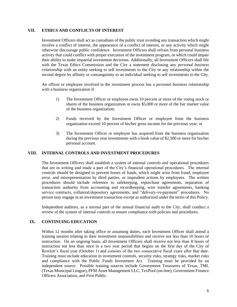### **VII. ETHICS AND CONFLICTS OF INTEREST**

Investment Officers shall act as custodians of the public trust avoiding any transaction which might involve a conflict of interest, the appearance of a conflict of interest, or any activity which might otherwise discourage public confidence. Investment Officers shall refrain from personal business activity that could conflict with proper execution of the investment program, or which could impair their ability to make impartial investment decisions. Additionally, all Investment Officers shall file with the Texas Ethics Commission and the City a statement disclosing any *personal business relationship* with an entity seeking to sell investments to the City or any relationship within the second degree by affinity or consanguinity to an individual seeking to sell investments to the City.

An officer or employee involved in the investment process has a *personal business relationship* with a business organization if:

- 1) The Investment Officer or employee owns 10 percent or more of the voting stock or shares of the business organization or owns \$5,000 or more of the fair market value of the business organization;
- 2) Funds received by the Investment Officer or employee from the business organization exceed 10 percent of his/her gross income for the previous year; or
- 3) The Investment Officer or employee has acquired from the business organization during the previous year investments with a book value of \$2,500 or more for his/her personal account.

#### **VIII. INTERNAL CONTROLS AND INVESTMENT PROCEDURES**

The Investment Officers shall establish a system of internal controls and operational procedures that are in writing and made a part of the City's financial operational procedures. The internal controls should be designed to prevent losses of funds, which might arise from fraud, employee error, and misrepresentation by third parties, or imprudent actions by employees. The written procedures should include reference to safekeeping, repurchase agreements, separation of transaction authority from accounting and recordkeeping, wire transfer agreements, banking service contracts, collateral/depository agreements, and "delivery-vs-payment" procedures. No person may engage in an investment transaction except as authorized under the terms of this Policy.

Independent auditors, as a normal part of the annual financial audit to the City, shall conduct a review of the system of internal controls to ensure compliance with policies and procedures.

## **IX. CONTINUING EDUCATION**

Within 12 months after taking office or assuming duties, each Investment Officer shall attend a training session relating to their investment responsibilities and receive not less than 10 hours of instruction. On an ongoing basis, all Investment Officers shall receive not less than 8 hours of instruction not less than once in a two year period that begins on the first day of the City of Rowlett's fiscal year (October 1) and consists of the two consecutive fiscal years after that date. Training must include education in investment controls, security risks, strategy risks, market risks and compliance with the Public Funds Investment Act. Training must be provided by an independent source. Possible training sources include Government Treasurers of Texas, TML (Texas Municipal League), PFM Asset Management LLC, TexPool (on-line), Government Finance Officers Association, and First Public.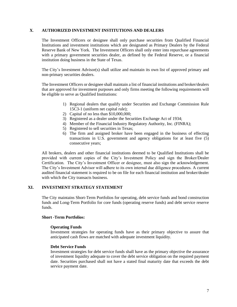## **X**. **AUTHORIZED INVESTMENT INSTITUTIONS AND DEALERS**

The Investment Officers or designee shall only purchase securities from Qualified Financial Institutions and investment institutions which are designated as Primary Dealers by the Federal Reserve Bank of New York. The Investment Officers shall only enter into repurchase agreements with a primary government securities dealer, as defined by the Federal Reserve, or a financial institution doing business in the State of Texas.

The City's Investment Advisor(s) shall utilize and maintain its own list of approved primary and non-primary securities dealers.

The Investment Officers or designee shall maintain a list of financial institutions and broker/dealers that are approved for investment purposes and only firms meeting the following requirements will be eligible to serve as Qualified Institutions:

- 1) Regional dealers that qualify under Securities and Exchange Commission Rule 15C3-1 (uniform net capital rule);
- 2) Capital of no less than \$10,000,000;
- 3) Registered as a dealer under the Securities Exchange Act of 1934;
- 4) Member of the Financial Industry Regulatory Authority, Inc. (FINRA);
- 5) Registered to sell securities in Texas;
- 6) The firm and assigned broker have been engaged in the business of effecting transactions in U.S. government and agency obligations for at least five (5) consecutive years;

All brokers, dealers and other financial institutions deemed to be Qualified Institutions shall be provided with current copies of the City's Investment Policy and sign the Broker/Dealer Certification. The City's Investment Officer or designee, must also sign the acknowledgement. The City's Investment Advisor will adhere to its own internal due diligence procedures. A current audited financial statement is required to be on file for each financial institution and broker/dealer with which the City transacts business.

## **XI. INVESTMENT STRATEGY STATEMENT**

The City maintains Short-Term Portfolios for operating, debt service funds and bond construction funds and Long-Term Portfolio for core funds (operating reserve funds) and debt service reserve funds.

## **Short -Term Portfolios:**

## **Operating Funds**

Investment strategies for operating funds have as their primary objective to assure that anticipated cash flows are matched with adequate investment liquidity.

## **Debt Service Funds**

Investment strategies for debt service funds shall have as the primary objective the assurance of investment liquidity adequate to cover the debt service obligation on the required payment date. Securities purchased shall not have a stated final maturity date that exceeds the debt service payment date.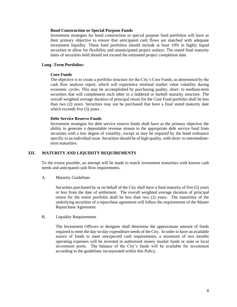### **Bond Construction or Special Purpose Funds**

Investment strategies for bond construction or special purpose fund portfolios will have as their primary objective to ensure that anticipated cash flows are matched with adequate investment liquidity. These fund portfolios should include at least 10% in highly liquid securities to allow for flexibility and unanticipated project outlays. The stated final maturity dates of securities held should not exceed the estimated project completion date.

#### **Long -Term Portfolios:**

## **Core Funds**

The objective is to create a portfolio structure for the City's Core Funds, as determined by the cash flow analysis report, which will experience minimal market value volatility during economic cycles. This may be accomplished by purchasing quality, short- to medium-term securities that will complement each other in a laddered or barbell maturity structure. The overall weighted average duration of principal return for the Core Fund portfolio shall be less than two (2) years. Securities may not be purchased that have a final stated maturity date which exceeds five  $(5)$  years.

#### **Debt Service Reserve Funds**

Investment strategies for debt service reserve funds shall have as the primary objective the ability to generate a dependable revenue stream to the appropriate debt service fund from securities with a low degree of volatility, except as may be required by the bond ordinance specific to an individual issue. Securities should be of high quality, with short- to intermediateterm maturities.

## **XII. MATURITY AND LIQUIDITY REQUIREMENTS**

To the extent possible, an attempt will be made to match investment maturities with known cash needs and anticipated cash flow requirements.

A. Maturity Guidelines

Securities purchased by or on behalf of the City shall have a final maturity of five (5) years or less from the date of settlement. The overall weighted average duration of principal return for the entire portfolio shall be less than two (2) years. The maturities of the underlying securities of a repurchase agreement will follow the requirements of the Master Repurchase Agreement.

B. Liquidity Requirements

The Investment Officers or designee shall determine the approximate amount of funds required to meet the day-to-day expenditure needs of the City. In order to have an available source of funds to meet unexpected cash requirements, a minimum of two months operating expenses will be invested in authorized money market funds or state or local investment pools. The balance of the City's funds will be available for investment according to the guidelines incorporated within this Policy.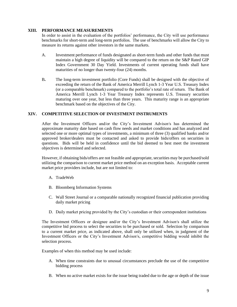## **XIII. PERFORMANCE MEASUREMENTS**

In order to assist in the evaluation of the portfolios' performance, the City will use performance benchmarks for short-term and long-term portfolios. The use of benchmarks will allow the City to measure its returns against other investors in the same markets.

- A. Investment performance of funds designated as short-term funds and other funds that must maintain a high degree of liquidity will be compared to the return on the S&P Rated GIP Index Government 30 Day Yield. Investments of current operating funds shall have maturities of no longer than twenty-four (24) months.
- B**.** The long-term investment portfolio (Core Funds) shall be designed with the objective of exceeding the return of the Bank of America Merrill Lynch 1-3 Year U.S. Treasury Index (or a comparable benchmark) compared to the portfolio's total rate of return. The Bank of America Merrill Lynch 1-3 Year Treasury Index represents U.S. Treasury securities maturing over one year, but less than three years. This maturity range is an appropriate benchmark based on the objectives of the City.

## **XIV. COMPETITIVE SELECTION OF INVESTMENT INSTRUMENTS**

After the Investment Officers and/or the City's Investment Advisor/s has determined the approximate maturity date based on cash flow needs and market conditions and has analyzed and selected one or more optimal types of investments, a minimum of three (3) qualified banks and/or approved broker/dealers must be contacted and asked to provide bids/offers on securities in questions. Bids will be held in confidence until the bid deemed to best meet the investment objectives is determined and selected.

However, if obtaining bids/offers are not feasible and appropriate, securities may be purchased/sold utilizing the comparison to current market price method on an exception basis. Acceptable current market price providers include, but are not limited to:

- A. TradeWeb
- B. Bloomberg Information Systems
- C. Wall Street Journal or a comparable nationally recognized financial publication providing daily market pricing
- D. Daily market pricing provided by the City's custodian or their correspondent institutions

The Investment Officers or designee and/or the City's Investment Advisor/s shall utilize the competitive bid process to select the securities to be purchased or sold. Selection by comparison to a current market price, as indicated above, shall only be utilized when, in judgment of the Investment Officers or the City's Investment Advisor/s, competitive bidding would inhibit the selection process.

Examples of when this method may be used include:

- A. When time constraints due to unusual circumstances preclude the use of the competitive bidding process
- B. When no active market exists for the issue being traded due to the age or depth of the issue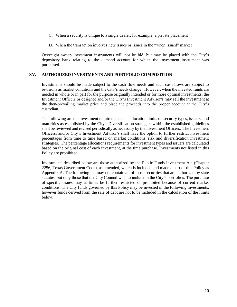- C. When a security is unique to a single dealer, for example, a private placement
- D. When the transaction involves new issues or issues in the "when issued" market

Overnight sweep investment instruments will not be bid, but may be placed with the City's depository bank relating to the demand account for which the investment instrument was purchased.

## **XV. AUTHORIZED INVESTMENTS AND PORTFOLIO COMPOSITION**

Investments should be made subject to the cash flow needs and such cash flows are subject to revisions as market conditions and the City's needs change. However, when the invested funds are needed in whole or in part for the purpose originally intended or for more optimal investments, the Investment Officers or designee and/or the City's Investment Advisor/s may sell the investment at the then-prevailing market price and place the proceeds into the proper account at the City's custodian.

The following are the investment requirements and allocation limits on security types, issuers, and maturities as established by the City. Diversification strategies within the established guidelines shall be reviewed and revised periodically as necessary by the Investment Officers. The Investment Officers, and/or City's Investment Advisor/s shall have the option to further restrict investment percentages from time to time based on market conditions, risk and diversification investment strategies. The percentage allocations requirements for investment types and issuers are calculated based on the original cost of each investment, at the time purchase. Investments not listed in this Policy are prohibited.

Investments described below are those authorized by the Public Funds Investment Act (Chapter 2256, Texas Government Code), as amended, which is included and made a part of this Policy as Appendix A. The following list may not contain all of those securities that are authorized by state statutes, but only those that the City Council wish to include in the City's portfolios. The purchase of specific issues may at times be further restricted or prohibited because of current market conditions. The City funds governed by this Policy may be invested in the following investments, however funds derived from the sale of debt are not to be included in the calculation of the limits below: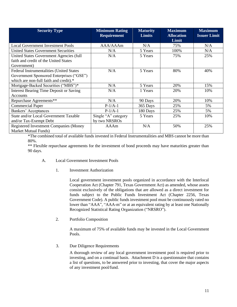| <b>Security Type</b>                            | <b>Minimum Rating</b><br><b>Requirement</b> | <b>Maturity</b><br><b>Limits</b> | <b>Maximum</b><br><b>Allocation</b><br>Limit | <b>Maximum</b><br><b>Issuer Limit</b> |
|-------------------------------------------------|---------------------------------------------|----------------------------------|----------------------------------------------|---------------------------------------|
| <b>Local Government Investment Pools</b>        | AAA/AAAm                                    | N/A                              | 75%                                          | N/A                                   |
| <b>United States Government Securities</b>      | N/A                                         | 5 Years                          | 100%                                         | N/A                                   |
| United States Government Agencies (full         | N/A                                         | 5 Years                          | 75%                                          | 25%                                   |
| faith and credit of the United States           |                                             |                                  |                                              |                                       |
| Government)                                     |                                             |                                  |                                              |                                       |
| <b>Federal Instrumentalities (United States</b> | N/A                                         | 5 Years                          | 80%                                          | 40%                                   |
| Government Sponsored Enterprises ("GSE")        |                                             |                                  |                                              |                                       |
| which are non-full faith and credit).*          |                                             |                                  |                                              |                                       |
| Mortgage-Backed Securities ("MBS")*             | N/A                                         | 5 Years                          | 20%                                          | 15%                                   |
| <b>Interest Bearing Time Deposit or Saving</b>  | N/A                                         | 1 Years                          | 20%                                          | 10%                                   |
| <b>Accounts</b>                                 |                                             |                                  |                                              |                                       |
| Repurchase Agreements**                         | N/A                                         | 90 Days                          | 20%                                          | 10%                                   |
| <b>Commercial Paper</b>                         | $P-1/A-1$                                   | 365 Days                         | 25%                                          | 5%                                    |
| Bankers' Acceptances                            | $P-1/A-1$                                   | 180 Days                         | 25%                                          | 5%                                    |
| State and/or Local Government Taxable           | Single "A" category                         | 5 Years                          | 25%                                          | 10%                                   |
| and/or Tax-Exempt Debt                          | by two NRSROs                               |                                  |                                              |                                       |
| <b>Registered Investment Companies (Money</b>   | AAAm                                        | N/A                              | 50%                                          | 25%                                   |
| <b>Market Mutual Funds)</b>                     |                                             |                                  |                                              |                                       |

\*The combined total of available funds invested in Federal Instrumentalities and MBS cannot be more than 80%.

\*\* Flexible repurchase agreements for the investment of bond proceeds may have maturities greater than 90 days.

- A. Local Government Investment Pools
	- 1. Investment Authorization

Local government investment pools organized in accordance with the Interlocal Cooperation Act (Chapter 791, Texas Government Act) as amended, whose assets consist exclusively of the obligations that are allowed as a direct investment for funds subject to the Public Funds Investment Act (Chapter 2256, Texas Government Code). A public funds investment pool must be continuously rated no lower than "AAA", "AAA-m" or at an equivalent rating by at least one Nationally Recognized Statistical Rating Organization ("NRSRO").

2. Portfolio Composition

A maximum of 75% of available funds may be invested in the Local Government Pools.

3. Due Diligence Requirements

A thorough review of any local government investment pool is required prior to investing, and on a continual basis. Attachment D is a questionnaire that contains a list of questions, to be answered prior to investing, that cover the major aspects of any investment pool/fund.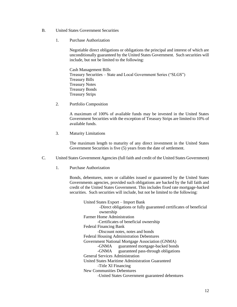- B. United States Government Securities
	- 1. Purchase Authorization

Negotiable direct obligations or obligations the principal and interest of which are unconditionally guaranteed by the United States Government. Such securities will include, but not be limited to the following:

Cash Management Bills Treasury Securities – State and Local Government Series ("SLGS") Treasury Bills Treasury Notes Treasury Bonds Treasury Strips

2. Portfolio Composition

A maximum of 100% of available funds may be invested in the United States Government Securities with the exception of Treasury Strips are limited to 10% of available funds.

3. Maturity Limitations

The maximum length to maturity of any direct investment in the United States Government Securities is five (5) years from the date of settlement.

- C. United States Government Agencies (full faith and credit of the United States Government)
	- 1. Purchase Authorization

Bonds, debentures, notes or callables issued or guaranteed by the United States Governments agencies, provided such obligations are backed by the full faith and credit of the United States Government. This includes fixed rate mortgage-backed securities. Such securities will include, but not be limited to the following:

United States Export – Import Bank -Direct obligations or fully guaranteed certificates of beneficial ownership Farmer Home Administration -Certificates of beneficial ownership Federal Financing Bank -Discount notes, notes and bonds Federal Housing Administration Debentures Government National Mortgage Association (GNMA) -GNMA guaranteed mortgage-backed bonds -GNMA guaranteed pass-through obligations General Services Administration United States Maritime Administration Guaranteed -Title XI Financing New Communities Debentures -United States Government guaranteed debentures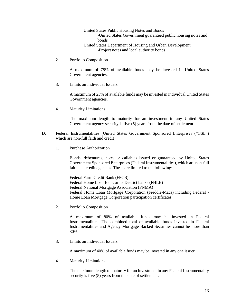United States Public Housing Notes and Bonds -United States Government guaranteed public housing notes and bonds United States Department of Housing and Urban Development -Project notes and local authority bonds

2. Portfolio Composition

A maximum of 75% of available funds may be invested in United States Government agencies.

3. Limits on Individual Issuers

A maximum of 25% of available funds may be invested in individual United States Government agencies.

4. Maturity Limitations

The maximum length to maturity for an investment in any United States Government agency security is five (5) years from the date of settlement.

- D. Federal Instrumentalities (United States Government Sponsored Enterprises ("GSE") which are non-full faith and credit)
	- 1. Purchase Authorization

Bonds, debentures, notes or callables issued or guaranteed by United States Government Sponsored Enterprises (Federal Instrumentalities), which are non-full faith and credit agencies. These are limited to the following:

Federal Farm Credit Bank (FFCB) Federal Home Loan Bank or its District banks (FHLB) Federal National Mortgage Association (FNMA) Federal Home Loan Mortgage Corporation (Freddie-Macs) including Federal - Home Loan Mortgage Corporation participation certificates

2. Portfolio Composition

A maximum of 80% of available funds may be invested in Federal Instrumentalities. The combined total of available funds invested in Federal Instrumentalities and Agency Mortgage Backed Securities cannot be more than 80%.

3. Limits on Individual Issuers

A maximum of 40% of available funds may be invested in any one issuer.

4. Maturity Limitations

The maximum length to maturity for an investment in any Federal Instrumentality security is five (5) years from the date of settlement.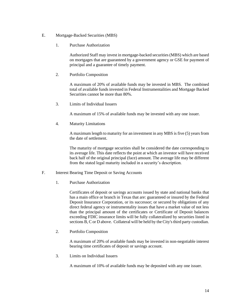- E. Mortgage-Backed Securities (MBS)
	- 1. Purchase Authorization

Authorized Staff may invest in mortgage-backed securities (MBS) which are based on mortgages that are guaranteed by a government agency or GSE for payment of principal and a guarantee of timely payment.

2. Portfolio Composition

A maximum of 20% of available funds may be invested in MBS. The combined total of available funds invested in Federal Instrumentalities and Mortgage Backed Securities cannot be more than 80%.

3. Limits of Individual Issuers

A maximum of 15% of available funds may be invested with any one issuer.

4. Maturity Limitations

A maximum length to maturity for an investment in any MBS is five (5) years from the date of settlement.

The maturity of mortgage securities shall be considered the date corresponding to its average life. This date reflects the point at which an investor will have received back half of the original principal (face) amount. The average life may be different from the stated legal maturity included in a security's description.

- F. Interest Bearing Time Deposit or Saving Accounts
	- 1. Purchase Authorization

Certificates of deposit or savings accounts issued by state and national banks that has a main office or branch in Texas that are: guaranteed or insured by the Federal Deposit Insurance Corporation, or its successor; or secured by obligations of any direct federal agency or instrumentality issues that have a market value of not less than the principal amount of the certificates or Certificate of Deposit balances exceeding FDIC insurance limits will be fully collateralized by securities listed in sections B, C or D above. Collateral will be held by the City's third party custodian.

2. Portfolio Composition

A maximum of 20% of available funds may be invested in non-negotiable interest bearing time certificates of deposit or savings account.

3. Limits on Individual Issuers

A maximum of 10% of available funds may be deposited with any one issuer.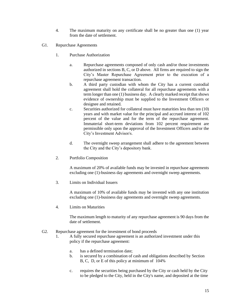- 4. The maximum maturity on any certificate shall be no greater than one (1) year from the date of settlement.
- G1. Repurchase Agreements
	- 1. Purchase Authorization
		- a. Repurchase agreements composed of only cash and/or those investments authorized in sections B, C, or D above. All firms are required to sign the City's Master Repurchase Agreement prior to the execution of a repurchase agreement transaction.
		- b. A third party custodian with whom the City has a current custodial agreement shall hold the collateral for all repurchase agreements with a term longer than one (1) business day. A clearly marked receipt that shows evidence of ownership must be supplied to the Investment Officers or designee and retained.
		- c. Securities authorized for collateral must have maturities less than ten (10) years and with market value for the principal and accrued interest of 102 percent of the value and for the term of the repurchase agreement. Immaterial short-term deviations from 102 percent requirement are permissible only upon the approval of the Investment Officers and/or the City's Investment Advisor/s.
		- d. The overnight sweep arrangement shall adhere to the agreement between the City and the City's depository bank.
	- 2. Portfolio Composition

A maximum of 20% of available funds may be invested in repurchase agreements excluding one (1)-business day agreements and overnight sweep agreements.

3. Limits on Individual Issuers

A maximum of 10% of available funds may be invested with any one institution excluding one (1)-business day agreements and overnight sweep agreements.

4. Limits on Maturities

The maximum length to maturity of any repurchase agreement is 90 days from the date of settlement.

#### G2. Repurchase agreement for the investment of bond proceeds

- 1. A fully secured repurchase agreement is an authorized investment under this policy if the repurchase agreement:
	- a. has a defined termination date;
	- b. is secured by a combination of cash and obligations described by Section B, C, D, or E of this policy at minimum of 104%
	- c. requires the securities being purchased by the City or cash held by the City to be pledged to the City, held in the City's name, and deposited at the time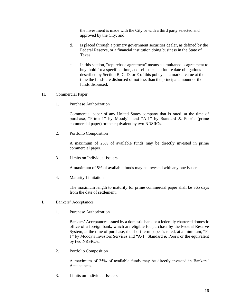the investment is made with the City or with a third party selected and approved by the City; and

- d. is placed through a primary government securities dealer, as defined by the Federal Reserve, or a financial institution doing business in the State of Texas.
- e. In this section, "repurchase agreement" means a simultaneous agreement to buy, hold for a specified time, and sell back at a future date obligations described by Section B, C, D, or E of this policy, at a market value at the time the funds are disbursed of not less than the principal amount of the funds disbursed.

#### H. Commercial Paper

1. Purchase Authorization

Commercial paper of any United States company that is rated, at the time of purchase, "Prime-1" by Moody's and "A-1" by Standard & Poor's (prime commercial paper) or the equivalent by two NRSROs.

2. Portfolio Composition

A maximum of 25% of available funds may be directly invested in prime commercial paper.

3. Limits on Individual Issuers

A maximum of 5% of available funds may be invested with any one issuer.

4. Maturity Limitations

The maximum length to maturity for prime commercial paper shall be 365 days from the date of settlement.

- I. Bankers' Acceptances
	- 1. Purchase Authorization

Bankers' Acceptances issued by a domestic bank or a federally chartered domestic office of a foreign bank, which are eligible for purchase by the Federal Reserve System, at the time of purchase, the short-term paper is rated, at a minimum, "P-1" by Moody's Investors Services and "A-1" Standard & Poor's or the equivalent by two NRSROs..

2. Portfolio Composition

A maximum of 25% of available funds may be directly invested in Bankers' Acceptances.

3. Limits on Individual Issuers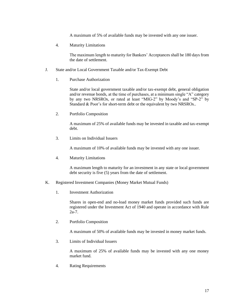A maximum of 5% of available funds may be invested with any one issuer.

4. Maturity Limitations

The maximum length to maturity for Bankers' Acceptances shall be 180 days from the date of settlement.

- J. State and/or Local Government Taxable and/or Tax-Exempt Debt
	- 1. Purchase Authorization

State and/or local government taxable and/or tax-exempt debt, general obligation and/or revenue bonds, at the time of purchases, at a minimum single "A" category by any two NRSROs, or rated at least "MIG-2" by Moody's and "SP-2" by Standard & Poor's for short-term debt or the equivalent by two NRSROs..

2. Portfolio Composition

A maximum of 25% of available funds may be invested in taxable and tax-exempt debt.

3. Limits on Individual Issuers

A maximum of 10% of available funds may be invested with any one issuer.

4. Maturity Limitations

A maximum length to maturity for an investment in any state or local government debt security is five (5) years from the date of settlement.

- K. Registered Investment Companies (Money Market Mutual Funds)
	- 1. Investment Authorization

Shares in open-end and no-load money market funds provided such funds are registered under the Investment Act of 1940 and operate in accordance with Rule  $2a-7$ .

2. Portfolio Composition

A maximum of 50% of available funds may be invested in money market funds.

3. Limits of Individual Issuers

A maximum of 25% of available funds may be invested with any one money market fund.

4. Rating Requirements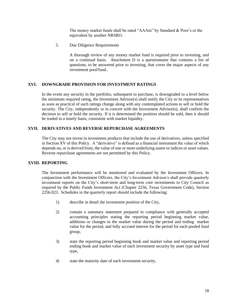The money market funds shall be rated "AAAm" by Standard & Poor's or the equivalent by another NRSRO.

5. Due Diligence Requirements

A thorough review of any money market fund is required prior to investing, and on a continual basis. Attachment D is a questionnaire that contains a list of questions, to be answered prior to investing, that cover the major aspects of any investment pool/fund..

## **XVI. DOWNGRADE PROVISION FOR INVESTMENT RATINGS**

In the event any security in the portfolio, subsequent to purchase, is downgraded to a level below the minimum required rating, the Investment Advisor(s) shall notify the City or its representatives as soon as practical of such ratings change along with any contemplated actions to sell or hold the security. The City, independently or in concert with the Investment Advisor(s), shall confirm the decision to sell or hold the security. If it is determined the position should be sold, then it should be traded in a timely basis, consistent with market liquidity.

## **XVII. DERIVATIVES AND REVERSE REPURCHASE AGREEMENTS**

The City may not invest in investment products that include the use of derivatives, unless specified in Section XV of this Policy. A "derivative" is defined as a financial instrument the value of which depends on, or is derived from, the value of one or more underlying assets or indices or asset values. Reverse repurchase agreements are not permitted by this Policy.

## **XVIII. REPORTING**

The Investment performance will be monitored and evaluated by the Investment Officers. In conjunction with the Investment Officers, the City's Investment Advisor/s shall provide quarterly investment reports on the City's short-term and long-term core investments to City Council as required by the Public Funds Investment Act (Chapter 2256, Texas Government Code), Section 2256.023. Schedules in the quarterly report should include the following:

- 1) describe in detail the investment position of the City,
- 2) contain a summary statement prepared in compliance with generally accepted accounting principles stating the reporting period beginning market value, additions or changes to the market value during the period and ending market value for the period, and fully accrued interest for the period for each pooled fund group,
- 3) state the reporting period beginning book and market value and reporting period ending book and market value of each investment security by asset type and fund type,
- 4) state the maturity date of each investment security,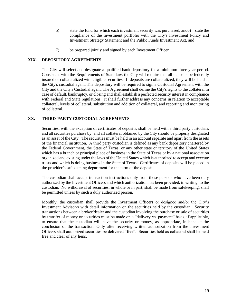- 5) state the fund for which each investment security was purchased, and6) state the compliance of the investment portfolio with the City's Investment Policy and Investment Strategy Statement and the Public Funds Investment Act, and
- 7) be prepared jointly and signed by each Investment Officer.

## **XIX. DEPOSITORY AGREEMENTS**

The City will select and designate a qualified bank depository for a minimum three year period. Consistent with the Requirements of State law, the City will require that all deposits be federally insured or collateralized with eligible securities. If deposits are collateralized, they will be held at the City's custodial agent. The depository will be required to sign a Custodial Agreement with the City and the City's Custodial agent. The Agreement shall define the City's rights to the collateral in case of default, bankruptcy, or closing and shall establish a perfected security interest in compliance with Federal and State regulations. It shall further address any concerns in relation to acceptable collateral, levels of collateral, substitution and addition of collateral, and reporting and monitoring of collateral.

## **XX. THIRD-PARTY CUSTODIAL AGREEMENTS**

Securities, with the exception of certificates of deposits, shall be held with a third party custodian; and all securities purchase by, and all collateral obtained by the City should be properly designated as an asset of the City. The securities must be held in an account separate and apart from the assets of the financial institution. A third party custodian is defined as any bank depository chartered by the Federal Government, the State of Texas, or any other state or territory of the United States which has a branch or principal place of business in the State of Texas or by a national association organized and existing under the laws of the United States which is authorized to accept and execute trusts and which is doing business in the State of Texas. Certificates of deposits will be placed in the provider's safekeeping department for the term of the deposit.

The custodian shall accept transaction instructions only from those persons who have been duly authorized by the Investment Officers and which authorization has been provided, in writing, to the custodian. No withdrawal of securities, in whole or in part, shall be made from safekeeping, shall be permitted unless by such a duly authorized person.

Monthly, the custodian shall provide the Investment Officers or designee and/or the City's Investment Advisor/s with detail information on the securities held by the custodian. Security transactions between a broker/dealer and the custodian involving the purchase or sale of securities by transfer of money or securities must be made on a "delivery vs. payment" basis, if applicable, to ensure that the custodian will have the security or money, as appropriate, in hand at the conclusion of the transaction. Only after receiving written authorization from the Investment Officers shall authorized securities be delivered "free". Securities held as collateral shall be held free and clear of any liens.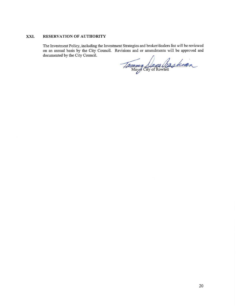#### XXI. **RESERVATION OF AUTHORITY**

The Investment Policy, including the Investment Strategies and broker/dealers list will be reviewed on an annual basis by the City Council. Revisions and or amendments will be approved and documented by the City Council.

Tammy Saca Baskian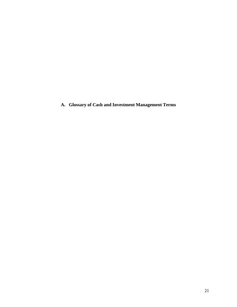**A. Glossary of Cash and Investment Management Terms**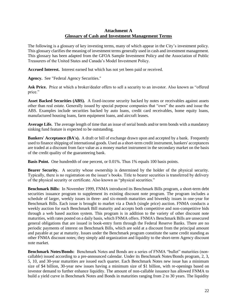## **Attachment A Glossary of Cash and Investment Management Terms**

The following is a glossary of key investing terms, many of which appear in the City's investment policy. This glossary clarifies the meaning of investment terms generally used in cash and investment management. This glossary has been adapted from the GFOA Sample Investment Policy and the Association of Public Treasurers of the United States and Canada's Model Investment Policy.

**Accrued Interest.** Interest earned but which has not yet been paid or received.

**Agency.** See "Federal Agency Securities."

**Ask Price.** Price at which a broker/dealer offers to sell a security to an investor. Also known as "offered price."

**Asset Backed Securities (ABS).** A fixed-income security backed by notes or receivables against assets other than real estate. Generally issued by special purpose companies that "own" the assets and issue the ABS. Examples include securities backed by auto loans, credit card receivables, home equity loans, manufactured housing loans, farm equipment loans, and aircraft leases.

**Average Life.** The average length of time that an issue of serial bonds and/or term bonds with a mandatory sinking fund feature is expected to be outstanding.

**Bankers' Acceptance (BA's).** A draft or bill of exchange drawn upon and accepted by a bank. Frequently used to finance shipping of international goods. Used as a short-term credit instrument, bankers' acceptances are traded at a discount from face value as a money market instrument in the secondary market on the basis of the credit quality of the guaranteeing bank.

**Basis Point.** One hundredth of one percent, or 0.01%. Thus 1% equals 100 basis points.

**Bearer Security.** A security whose ownership is determined by the holder of the physical security. Typically, there is no registration on the issuer's books. Title to bearer securities is transferred by delivery of the physical security or certificate. Also known as "physical securities."

**Benchmark Bills:** In November 1999, FNMA introduced its Benchmark Bills program, a short-term debt securities issuance program to supplement its existing discount note program. The program includes a schedule of larger, weekly issues in three- and six-month maturities and biweekly issues in one-year for Benchmark Bills. Each issue is brought to market via a Dutch (single price) auction. FNMA conducts a weekly auction for each Benchmark Bill maturity and accepts both competitive and non-competitive bids through a web based auction system. This program is in addition to the variety of other discount note maturities, with rates posted on a daily basis, which FNMA offers. FNMA's Benchmark Bills are unsecured general obligations that are issued in book-entry form through the Federal Reserve Banks. There are no periodic payments of interest on Benchmark Bills, which are sold at a discount from the principal amount and payable at par at maturity. Issues under the Benchmark program constitute the same credit standing as other FNMA discount notes; they simply add organization and liquidity to the short-term Agency discount note market.

**Benchmark Notes/Bonds:** Benchmark Notes and Bonds are a series of FNMA "bullet" maturities (noncallable) issued according to a pre-announced calendar. Under its Benchmark Notes/Bonds program, 2, 3, 5, 10, and 30-year maturities are issued each quarter. Each Benchmark Notes new issue has a minimum size of \$4 billion, 30-year new issues having a minimum size of \$1 billion, with re-openings based on investor demand to further enhance liquidity. The amount of non-callable issuance has allowed FNMA to build a yield curve in Benchmark Notes and Bonds in maturities ranging from 2 to 30 years. The liquidity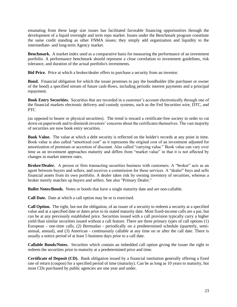emanating from these large size issues has facilitated favorable financing opportunities through the development of a liquid overnight and term repo market. Issues under the Benchmark program constitute the same credit standing as other FNMA issues; they simply add organization and liquidity to the intermediate- and long-term Agency market.

**Benchmark.** A market index used as a comparative basis for measuring the performance of an investment portfolio. A performance benchmark should represent a close correlation to investment guidelines, risk tolerance, and duration of the actual portfolio's investments.

**Bid Price.** Price at which a broker/dealer offers to purchase a security from an investor.

**Bond.** Financial obligation for which the issuer promises to pay the bondholder (the purchaser or owner of the bond) a specified stream of future cash-flows, including periodic interest payments and a principal repayment.

**Book Entry Securities.** Securities that are recorded in a customer's account electronically through one of the financial markets electronic delivery and custody systems, such as the Fed Securities wire, DTC, and PTC

(as opposed to bearer or physical securities). The trend is toward a certificate-free society in order to cut down on paperwork and to diminish investors' concerns about the certificates themselves. The vast majority of securities are now book entry securities.

**Book Value.** The value at which a debt security is reflected on the holder's records at any point in time. Book value is also called "amortized cost" as it represents the original cost of an investment adjusted for amortization of premium or accretion of discount. Also called "carrying value." Book value can vary over time as an investment approaches maturity and differs from "market value" in that it is not affected by changes in market interest rates.

**Broker/Dealer.** A person or firm transacting securities business with customers. A "broker" acts as an agent between buyers and sellers, and receives a commission for these services. A "dealer" buys and sells financial assets from its own portfolio. A dealer takes risk by owning inventory of securities, whereas a broker merely matches up buyers and sellers. See also "Primary Dealer."

**Bullet Notes/Bonds.** Notes or bonds that have a single maturity date and are non-callable.

**Call Date.** Date at which a call option may be or is exercised.

**Call Option.** The right, but not the obligation, of an issuer of a security to redeem a security at a specified value and at a specified date or dates prior to its stated maturity date. Most fixed-income calls are a par, but can be at any previously established price. Securities issued with a call provision typically carry a higher yield than similar securities issued without a call feature. There are three primary types of call options (1) European - one-time calls, (2) Bermudan - periodically on a predetermined schedule (quarterly, semiannual, annual), and (3) American - continuously callable at any time on or after the call date. There is usually a notice period of at least 5 business days prior to a call date.

**Callable Bonds/Notes.** Securities which contain an imbedded call option giving the issuer the right to redeem the securities prior to maturity at a predetermined price and time.

**Certificate of Deposit (CD).** Bank obligation issued by a financial institution generally offering a fixed rate of return (coupon) for a specified period of time (maturity). Can be as long as 10 years to maturity, but most CDs purchased by public agencies are one year and under.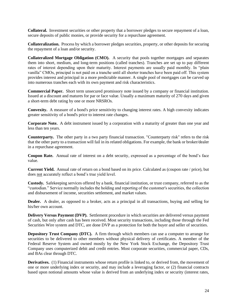**Collateral.** Investment securities or other property that a borrower pledges to secure repayment of a loan, secure deposits of public monies, or provide security for a repurchase agreement.

**Collateralization.** Process by which a borrower pledges securities, property, or other deposits for securing the repayment of a loan and/or security.

**Collateralized Mortgage Obligation (CMO).** A security that pools together mortgages and separates them into short, medium, and long-term positions (called tranches). Tranches are set up to pay different rates of interest depending upon their maturity. Interest payments are usually paid monthly. In "plain vanilla" CMOs, principal is not paid on a tranche until all shorter tranches have been paid off. This system provides interest and principal in a more predictable manner. A single pool of mortgages can be carved up into numerous tranches each with its own payment and risk characteristics.

**Commercial Paper.** Short term unsecured promissory note issued by a company or financial institution. Issued at a discount and matures for par or face value. Usually a maximum maturity of 270 days and given a short-term debt rating by one or more NRSROs.

**Convexity.** A measure of a bond's price sensitivity to changing interest rates. A high convexity indicates greater sensitivity of a bond's price to interest rate changes.

**Corporate Note.** A debt instrument issued by a corporation with a maturity of greater than one year and less than ten years.

**Counterparty.** The other party in a two party financial transaction. "Counterparty risk" refers to the risk that the other party to a transaction will fail in its related obligations. For example, the bank or broker/dealer in a repurchase agreement.

**Coupon Rate.** Annual rate of interest on a debt security, expressed as a percentage of the bond's face value.

**Current Yield.** Annual rate of return on a bond based on its price. Calculated as (coupon rate / price), but does not accurately reflect a bond's true yield level.

**Custody.** Safekeeping services offered by a bank, financial institution, or trust company, referred to as the "custodian." Service normally includes the holding and reporting of the customer's securities, the collection and disbursement of income, securities settlement, and market values.

**Dealer.** A dealer, as opposed to a broker, acts as a principal in all transactions, buying and selling for his/her own account.

**Delivery Versus Payment (DVP).** Settlement procedure in which securities are delivered versus payment of cash, but only after cash has been received. Most security transactions, including those through the Fed Securities Wire system and DTC, are done DVP as a protection for both the buyer and seller of securities.

**Depository Trust Company (DTC).** A firm through which members can use a computer to arrange for securities to be delivered to other members without physical delivery of certificates. A member of the Federal Reserve System and owned mostly by the New York Stock Exchange, the Depository Trust Company uses computerized debit and credit entries. Most corporate securities, commercial paper, CDs, and BAs clear through DTC.

**Derivatives.** (1) Financial instruments whose return profile is linked to, or derived from, the movement of one or more underlying index or security, and may include a leveraging factor, or (2) financial contracts based upon notional amounts whose value is derived from an underlying index or security (interest rates,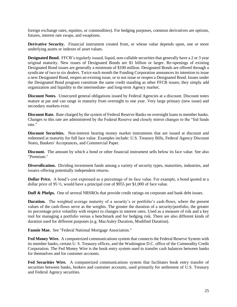foreign exchange rates, equities, or commodities). For hedging purposes, common derivatives are options, futures, interest rate swaps, and swaptions.

**Derivative Security.** Financial instrument created from, or whose value depends upon, one or more underlying assets or indexes of asset values.

**Designated Bond.** FFCB's regularly issued, liquid, non-callable securities that generally have a 2 or 3 year original maturity. New issues of Designated Bonds are \$1 billion or larger. Re-openings of existing Designated Bond issues are generally a minimum of \$100 million. Designated Bonds are offered through a syndicate of two to six dealers. Twice each month the Funding Corporation announces its intention to issue a new Designated Bond, reopen an existing issue, or to not issue or reopen a Designated Bond. Issues under the Designated Bond program constitute the same credit standing as other FFCB issues; they simply add organization and liquidity to the intermediate- and long-term Agency market.

**Discount Notes.** Unsecured general obligations issued by Federal Agencies at a discount. Discount notes mature at par and can range in maturity from overnight to one year. Very large primary (new issue) and secondary markets exist.

**Discount Rate.** Rate charged by the system of Federal Reserve Banks on overnight loans to member banks. Changes to this rate are administered by the Federal Reserve and closely mirror changes to the "fed funds rate."

**Discount Securities.** Non-interest bearing money market instruments that are issued at discount and redeemed at maturity for full face value. Examples include: U.S. Treasury Bills, Federal Agency Discount Notes, Bankers' Acceptances, and Commercial Paper.

**Discount.** The amount by which a bond or other financial instrument sells below its face value. See also "Premium."

**Diversification.** Dividing investment funds among a variety of security types, maturities, industries, and issuers offering potentially independent returns.

**Dollar Price.** A bond's cost expressed as a percentage of its face value. For example, a bond quoted at a dollar price of 95 ½, would have a principal cost of \$955 per \$1,000 of face value.

**Duff & Phelps.** One of several NRSROs that provide credit ratings on corporate and bank debt issues.

**Duration.** The weighted average maturity of a security's or portfolio's cash-flows, where the present values of the cash-flows serve as the weights. The greater the duration of a security/portfolio, the greater its percentage price volatility with respect to changes in interest rates. Used as a measure of risk and a key tool for managing a portfolio versus a benchmark and for hedging risk. There are also different kinds of duration used for different purposes (e.g. MacAuley Duration, Modified Duration).

**Fannie Mae.** See "Federal National Mortgage Association."

**Fed Money Wire.** A computerized communications system that connects the Federal Reserve System with its member banks, certain U. S. Treasury offices, and the Washington D.C. office of the Commodity Credit Corporation. The Fed Money Wire is the book entry system used to transfer cash balances between banks for themselves and for customer accounts.

Fed Securities Wire. A computerized communications system that facilitates book entry transfer of securities between banks, brokers and customer accounts, used primarily for settlement of U.S. Treasury and Federal Agency securities.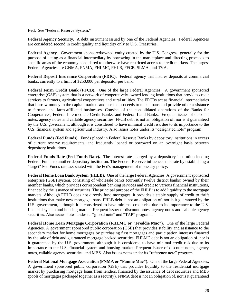**Fed.** See "Federal Reserve System."

**Federal Agency Security.** A debt instrument issued by one of the Federal Agencies. Federal Agencies are considered second in credit quality and liquidity only to U.S. Treasuries.

Federal Agency. Government sponsored/owned entity created by the U.S. Congress, generally for the purpose of acting as a financial intermediary by borrowing in the marketplace and directing proceeds to specific areas of the economy considered to otherwise have restricted access to credit markets. The largest Federal Agencies are GNMA, FNMA, FHLMC, FHLB, FFCB, SLMA, and TVA.

**Federal Deposit Insurance Corporation (FDIC).** Federal agency that insures deposits at commercial banks, currently to a limit of \$250,000 per depositor per bank.

**Federal Farm Credit Bank (FFCB).** One of the large Federal Agencies. A government sponsored enterprise (GSE) system that is a network of cooperatively-owned lending institutions that provides credit services to farmers, agricultural cooperatives and rural utilities. The FFCBs act as financial intermediaries that borrow money in the capital markets and use the proceeds to make loans and provide other assistance to farmers and farm-affiliated businesses. Consists of the consolidated operations of the Banks for Cooperatives, Federal Intermediate Credit Banks, and Federal Land Banks. Frequent issuer of discount notes, agency notes and callable agency securities. FFCB debt is not an obligation of, nor is it guaranteed by the U.S. government, although it is considered to have minimal credit risk due to its importance to the U.S. financial system and agricultural industry. Also issues notes under its "designated note" program.

**Federal Funds (Fed Funds).** Funds placed in Federal Reserve Banks by depository institutions in excess of current reserve requirements, and frequently loaned or borrowed on an overnight basis between depository institutions.

**Federal Funds Rate (Fed Funds Rate).** The interest rate charged by a depository institution lending Federal Funds to another depository institution. The Federal Reserve influences this rate by establishing a "target" Fed Funds rate associated with the Fed's management of monetary policy.

**Federal Home Loan Bank System (FHLB).** One of the large Federal Agencies. A government sponsored enterprise (GSE) system, consisting of wholesale banks (currently twelve district banks) owned by their member banks, which provides correspondent banking services and credit to various financial institutions, financed by the issuance of securities. The principal purpose of the FHLB is to add liquidity to the mortgage markets. Although FHLB does not directly fund mortgages, it provides a stable supply of credit to thrift institutions that make new mortgage loans. FHLB debt is not an obligation of, nor is it guaranteed by the U.S. government, although it is considered to have minimal credit risk due to its importance to the U.S. financial system and housing market. Frequent issuer of discount notes, agency notes and callable agency securities. Also issues notes under its "global note" and "TAP" programs.

**Federal Home Loan Mortgage Corporation (FHLMC or "Freddie Mac").** One of the large Federal Agencies. A government sponsored public corporation (GSE) that provides stability and assistance to the secondary market for home mortgages by purchasing first mortgages and participation interests financed by the sale of debt and guaranteed mortgage backed securities. FHLMC debt is not an obligation of, nor is it guaranteed by the U.S. government, although it is considered to have minimal credit risk due to its importance to the U.S. financial system and housing market. Frequent issuer of discount notes, agency notes, callable agency securities, and MBS. Also issues notes under its "reference note" program.

**Federal National Mortgage Association (FNMA or "Fannie Mae").** One of the large Federal Agencies. A government sponsored public corporation (GSE) that provides liquidity to the residential mortgage market by purchasing mortgage loans from lenders, financed by the issuance of debt securities and MBS (pools of mortgages packaged together as a security). FNMA debt is not an obligation of, nor is it guaranteed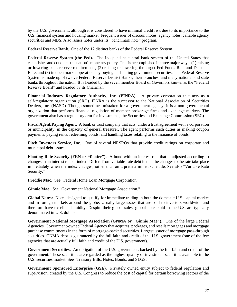by the U.S. government, although it is considered to have minimal credit risk due to its importance to the U.S. financial system and housing market. Frequent issuer of discount notes, agency notes, callable agency securities and MBS. Also issues notes under its "benchmark note" program.

**Federal Reserve Bank.** One of the 12 distinct banks of the Federal Reserve System.

**Federal Reserve System (the Fed).** The independent central bank system of the United States that establishes and conducts the nation's monetary policy. This is accomplished in three major ways: (1) raising or lowering bank reserve requirements, (2) raising or lowering the target Fed Funds Rate and Discount Rate, and (3) in open market operations by buying and selling government securities. The Federal Reserve System is made up of twelve Federal Reserve District Banks, their branches, and many national and state banks throughout the nation. It is headed by the seven member Board of Governors known as the "Federal Reserve Board" and headed by its Chairman.

Financial Industry Regulatory Authority, Inc. (FINRA). A private corporation that acts as a self-regulatory organization (SRO). FINRA is the successor to the National Association of Securities Dealers, Inc. (NASD). Though sometimes mistaken for a government agency, it is a non-governmental organization that performs financial regulation of member brokerage firms and exchange markets. The government also has a regulatory arm for investments, the Securities and Exchange Commission (SEC).

**Fiscal Agent/Paying Agent.** A bank or trust company that acts, under a trust agreement with a corporation or municipality, in the capacity of general treasurer. The agent performs such duties as making coupon payments, paying rents, redeeming bonds, and handling taxes relating to the issuance of bonds.

**Fitch Investors Service, Inc.** One of several NRSROs that provide credit ratings on corporate and municipal debt issues.

**Floating Rate Security (FRN or "floater").** A bond with an interest rate that is adjusted according to changes in an interest rate or index. Differs from variable-rate debt in that the changes to the rate take place immediately when the index changes, rather than on a predetermined schedule. See also "Variable Rate Security."

**Freddie Mac.** See "Federal Home Loan Mortgage Corporation."

**Ginnie Mae.** See "Government National Mortgage Association."

**Global Notes:** Notes designed to qualify for immediate trading in both the domestic U.S. capital market and in foreign markets around the globe. Usually large issues that are sold to investors worldwide and therefore have excellent liquidity. Despite their global sales, global notes sold in the U.S. are typically denominated in U.S. dollars.

**Government National Mortgage Association (GNMA or "Ginnie Mae").** One of the large Federal Agencies. Government-owned Federal Agency that acquires, packages, and resells mortgages and mortgage purchase commitments in the form of mortgage-backed securities. Largest issuer of mortgage pass-through securities. GNMA debt is guaranteed by the full faith and credit of the U.S. government (one of the few agencies that are actually full faith and credit of the U.S. government).

**Government Securities.** An obligation of the U.S. government, backed by the full faith and credit of the government. These securities are regarded as the highest quality of investment securities available in the U.S. securities market. See "Treasury Bills, Notes, Bonds, and SLGS."

**Government Sponsored Enterprise (GSE).** Privately owned entity subject to federal regulation and supervision, created by the U.S. Congress to reduce the cost of capital for certain borrowing sectors of the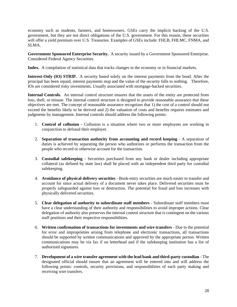economy such as students, farmers, and homeowners. GSEs carry the implicit backing of the U.S. government, but they are not direct obligations of the U.S. government. For this reason, these securities will offer a yield premium over U.S. Treasuries. Examples of GSEs include: FHLB, FHLMC, FNMA, and SLMA.

**Government Sponsored Enterprise Security.** A security issued by a Government Sponsored Enterprise. Considered Federal Agency Securities.

**Index.** A compilation of statistical data that tracks changes in the economy or in financial markets.

**Interest-Only (IO) STRIP.** A security based solely on the interest payments from the bond. After the principal has been repaid, interest payments stop and the value of the security falls to nothing. Therefore, IOs are considered risky investments. Usually associated with mortgage-backed securities.

**Internal Controls.** An internal control structure ensures that the assets of the entity are protected from loss, theft, or misuse. The internal control structure is designed to provide reasonable assurance that these objectives are met. The concept of reasonable assurance recognizes that 1) the cost of a control should not exceed the benefits likely to be derived and 2) the valuation of costs and benefits requires estimates and judgments by management. Internal controls should address the following points:

- 1. **Control of collusion** Collusion is a situation where two or more employees are working in conjunction to defraud their employer.
- 2. **Separation of transaction authority from accounting and record keeping** A separation of duties is achieved by separating the person who authorizes or performs the transaction from the people who record or otherwise account for the transaction.
- 3. **Custodial safekeeping** Securities purchased from any bank or dealer including appropriate collateral (as defined by state law) shall be placed with an independent third party for custodial safekeeping.
- 4. **Avoidance of physical delivery securities** Book-entry securities are much easier to transfer and account for since actual delivery of a document never takes place. Delivered securities must be properly safeguarded against loss or destruction. The potential for fraud and loss increases with physically delivered securities.
- 5. **Clear delegation of authority to subordinate staff members** Subordinate staff members must have a clear understanding of their authority and responsibilities to avoid improper actions. Clear delegation of authority also preserves the internal control structure that is contingent on the various staff positions and their respective responsibilities.
- 6. **Written confirmation of transactions for investments and wire transfers** Due to the potential for error and improprieties arising from telephone and electronic transactions, all transactions should be supported by written communications and approved by the appropriate person. Written communications may be via fax if on letterhead and if the safekeeping institution has a list of authorized signatures.
- 7. **Development of a wire transfer agreement with the lead bank and third-party custodian** The designated official should ensure that an agreement will be entered into and will address the following points: controls, security provisions, and responsibilities of each party making and receiving wire transfers.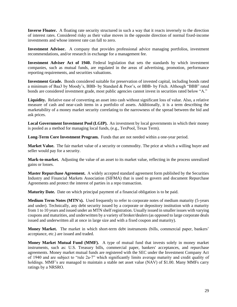**Inverse Floater.** A floating rate security structured in such a way that it reacts inversely to the direction of interest rates. Considered risky as their value moves in the opposite direction of normal fixed-income investments and whose interest rate can fall to zero.

**Investment Advisor.** A company that provides professional advice managing portfolios, investment recommendations, and/or research in exchange for a management fee.

**Investment Adviser Act of 1940.** Federal legislation that sets the standards by which investment companies, such as mutual funds, are regulated in the areas of advertising, promotion, performance reporting requirements, and securities valuations.

**Investment Grade.** Bonds considered suitable for preservation of invested capital, including bonds rated a minimum of Baa3 by Moody's, BBB- by Standard & Poor's, or BBB- by Fitch. Although "BBB" rated bonds are considered investment grade, most public agencies cannot invest in securities rated below "A."

**Liquidity.** Relative ease of converting an asset into cash without significant loss of value. Also, a relative measure of cash and near-cash items in a portfolio of assets. Additionally, it is a term describing the marketability of a money market security correlating to the narrowness of the spread between the bid and ask prices.

**Local Government Investment Pool (LGIP).** An investment by local governments in which their money is pooled as a method for managing local funds, (e.g., TexPool, Texas Term).

**Long-Term Core Investment Program.** Funds that are not needed within a one-year period.

**Market Value.** The fair market value of a security or commodity. The price at which a willing buyer and seller would pay for a security.

**Mark-to-market.** Adjusting the value of an asset to its market value, reflecting in the process unrealized gains or losses.

**Master Repurchase Agreement.** A widely accepted standard agreement form published by the Securities Industry and Financial Markets Association (SIFMA) that is used to govern and document Repurchase Agreements and protect the interest of parties in a repo transaction.

**Maturity Date.** Date on which principal payment of a financial obligation is to be paid.

**Medium Term Notes (MTN's).** Used frequently to refer to corporate notes of medium maturity (5-years and under). Technically, any debt security issued by a corporate or depository institution with a maturity from 1 to 10 years and issued under an MTN shelf registration. Usually issued in smaller issues with varying coupons and maturities, and underwritten by a variety of broker/dealers (as opposed to large corporate deals issued and underwritten all at once in large size and with a fixed coupon and maturity).

**Money Market.** The market in which short-term debt instruments (bills, commercial paper, bankers' acceptance, etc.) are issued and traded.

**Money Market Mutual Fund (MMF).** A type of mutual fund that invests solely in money market instruments, such as: U.S. Treasury bills, commercial paper, bankers' acceptances, and repurchase agreements. Money market mutual funds are registered with the SEC under the Investment Company Act of 1940 and are subject to "rule 2a-7" which significantly limits average maturity and credit quality of holdings. MMF's are managed to maintain a stable net asset value (NAV) of \$1.00. Many MMFs carry ratings by a NRSRO.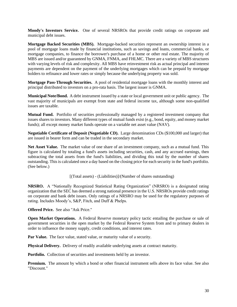**Moody's Investors Service.** One of several NRSROs that provide credit ratings on corporate and municipal debt issues.

**Mortgage Backed Securities (MBS).** Mortgage-backed securities represent an ownership interest in a pool of mortgage loans made by financial institutions, such as savings and loans, commercial banks, or mortgage companies, to finance the borrower's purchase of a home or other real estate. The majority of MBS are issued and/or guaranteed by GNMA, FNMA, and FHLMC. There are a variety of MBS structures with varying levels of risk and complexity. All MBS have reinvestment risk as actual principal and interest payments are dependent on the payment of the underlying mortgages which can be prepaid by mortgage holders to refinance and lower rates or simply because the underlying property was sold.

**Mortgage Pass-Through Securities.** A pool of residential mortgage loans with the monthly interest and principal distributed to investors on a pro-rata basis. The largest issuer is GNMA.

**Municipal Note/Bond.** A debt instrument issued by a state or local government unit or public agency. The vast majority of municipals are exempt from state and federal income tax, although some non-qualified issues are taxable.

**Mutual Fund.** Portfolio of securities professionally managed by a registered investment company that issues shares to investors. Many different types of mutual funds exist (e.g., bond, equity, and money market funds); all except money market funds operate on a variable net asset value (NAV).

**Negotiable Certificate of Deposit (Negotiable CD).** Large denomination CDs (\$100,000 and larger) that are issued in bearer form and can be traded in the secondary market.

**Net Asset Value.** The market value of one share of an investment company, such as a mutual fund. This figure is calculated by totaling a fund's assets including securities, cash, and any accrued earnings, then subtracting the total assets from the fund's liabilities, and dividing this total by the number of shares outstanding. This is calculated once a day based on the closing price for each security in the fund's portfolio. (See below.)

[(Total assets) - (Liabilities)]/(Number of shares outstanding)

**NRSRO.** A "Nationally Recognized Statistical Rating Organization" (NRSRO) is a designated rating organization that the SEC has deemed a strong national presence in the U.S. NRSROs provide credit ratings on corporate and bank debt issues. Only ratings of a NRSRO may be used for the regulatory purposes of rating. Includes Moody's, S&P, Fitch, and Duff & Phelps.

**Offered Price.** See also "Ask Price."

**Open Market Operations.** A Federal Reserve monetary policy tactic entailing the purchase or sale of government securities in the open market by the Federal Reserve System from and to primary dealers in order to influence the money supply, credit conditions, and interest rates.

Par Value. The face value, stated value, or maturity value of a security.

**Physical Delivery.** Delivery of readily available underlying assets at contract maturity.

**Portfolio.** Collection of securities and investments held by an investor.

**Premium.** The amount by which a bond or other financial instrument sells above its face value. See also "Discount."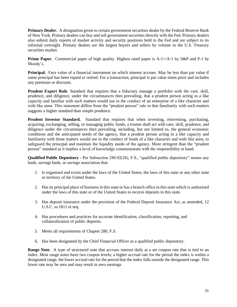**Primary Dealer.** A designation given to certain government securities dealer by the Federal Reserve Bank of New York. Primary dealers can buy and sell government securities directly with the Fed. Primary dealers also submit daily reports of market activity and security positions held to the Fed and are subject to its informal oversight. Primary dealers are the largest buyers and sellers by volume in the U.S. Treasury securities market.

**Prime Paper.** Commercial paper of high quality. Highest rated paper is A-1+/A-1 by S&P and P-1 by Moody's.

**Principal.** Face value of a financial instrument on which interest accrues. May be less than par value if some principal has been repaid or retired. For a transaction, principal is par value times price and includes any premium or discount.

**Prudent Expert Rule**. Standard that requires that a fiduciary manage a portfolio with the care, skill, prudence, and diligence, under the circumstances then prevailing, that a prudent person acting in a like capacity and familiar with such matters would use in the conduct of an enterprise of a like character and with like aims. This statement differs from the "prudent person" rule in that familiarity with such matters suggests a higher standard than simple prudence.

**Prudent Investor Standard.** Standard that requires that when investing, reinvesting, purchasing, acquiring, exchanging, selling, or managing public funds, a trustee shall act with care, skill, prudence, and diligence under the circumstances then prevailing, including, but not limited to, the general economic conditions and the anticipated needs of the agency, that a prudent person acting in a like capacity and familiarity with those matters would use in the conduct of funds of a like character and with like aims, to safeguard the principal and maintain the liquidity needs of the agency. More stringent than the "prudent person" standard as it implies a level of knowledge commensurate with the responsibility at hand.

**Qualified Public Depository** - Per Subsection 280.02(26), F.S., "qualified public depository" means any bank, savings bank, or savings association that:

- 1. Is organized and exists under the laws of the United States, the laws of this state or any other state or territory of the United States.
- 2. Has its principal place of business in this state or has a branch office in this state which is authorized under the laws of this state or of the United States to receive deposits in this state.
- 3. Has deposit insurance under the provision of the Federal Deposit Insurance Act, as amended, 12 U.S.C. ss.1811 et seq.
- 4. Has procedures and practices for accurate identification, classification, reporting, and collateralization of public deposits.
- 5. Meets all requirements of Chapter 280, F.S.
- 6. Has been designated by the Chief Financial Officer as a qualified public depository.

**Range Note.** A type of structured note that accrues interest daily at a set coupon rate that is tied to an index. Most range notes have two coupon levels; a higher accrual rate for the period the index is within a designated range, the lower accrual rate for the period that the index falls outside the designated range. This lower rate may be zero and may result in zero earnings.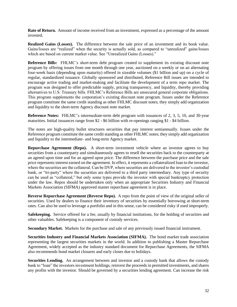**Rate of Return.** Amount of income received from an investment, expressed as a percentage of the amount invested.

**Realized Gains (Losses).** The difference between the sale price of an investment and its book value. Gains/losses are "realized" when the security is actually sold, as compared to "unrealized" gains/losses which are based on current market value. See "Unrealized Gains (Losses)."

**Reference Bills:** FHLMC's short-term debt program created to supplement its existing discount note program by offering issues from one month through one year, auctioned on a weekly or on an alternating four-week basis (depending upon maturity) offered in sizeable volumes (\$1 billion and up) on a cycle of regular, standardized issuance. Globally sponsored and distributed, Reference Bill issues are intended to encourage active trading and market-making and facilitate the development of a term repo market. The program was designed to offer predictable supply, pricing transparency, and liquidity, thereby providing alternatives to U.S. Treasury bills. FHLMC's Reference Bills are unsecured general corporate obligations. This program supplements the corporation's existing discount note program. Issues under the Reference program constitute the same credit standing as other FHLMC discount notes; they simply add organization and liquidity to the short-term Agency discount note market.

**Reference Notes:** FHLMC's intermediate-term debt program with issuances of 2, 3, 5, 10, and 30-year maturities. Initial issuances range from \$2 - \$6 billion with re-openings ranging \$1 - \$4 billion.

The notes are high-quality bullet structures securities that pay interest semiannually. Issues under the Reference program constitute the same credit standing as other FHLMC notes; they simply add organization and liquidity to the intermediate- and long-term Agency market.

**Repurchase Agreement (Repo).** A short-term investment vehicle where an investor agrees to buy securities from a counterparty and simultaneously agrees to resell the securities back to the counterparty at an agreed upon time and for an agreed upon price. The difference between the purchase price and the sale price represents interest earned on the agreement. In effect, it represents a collateralized loan to the investor, where the securities are the collateral. Can be DVP, where securities are delivered to the investor's custodial bank, or "tri-party" where the securities are delivered to a third party intermediary. Any type of security can be used as "collateral," but only some types provide the investor with special bankruptcy protection under the law. Repos should be undertaken only when an appropriate Securities Industry and Financial Markets Association (SIFMA) approved master repurchase agreement is in place.

**Reverse Repurchase Agreement (Reverse Repo).** A repo from the point of view of the original seller of securities. Used by dealers to finance their inventory of securities by essentially borrowing at short-term rates. Can also be used to leverage a portfolio and in this sense, can be considered risky if used improperly.

**Safekeeping.** Service offered for a fee, usually by financial institutions, for the holding of securities and other valuables. Safekeeping is a component of custody services.

**Secondary Market.** Markets for the purchase and sale of any previously issued financial instrument.

**Securities Industry and Financial Markets Association (SIFMA).** The bond market trade association representing the largest securities markets in the world. In addition to publishing a Master Repurchase Agreement, widely accepted as the industry standard document for Repurchase Agreements, the SIFMA also recommends bond market closures and early closes due to holidays.

**Securities Lending.** An arrangement between and investor and a custody bank that allows the custody bank to "loan" the investors investment holdings, reinvest the proceeds in permitted investments, and shares any profits with the investor. Should be governed by a securities lending agreement. Can increase the risk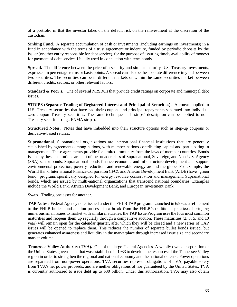of a portfolio in that the investor takes on the default risk on the reinvestment at the discretion of the custodian.

**Sinking Fund.** A separate accumulation of cash or investments (including earnings on investments) in a fund in accordance with the terms of a trust agreement or indenture, funded by periodic deposits by the issuer (or other entity responsible for debt service), for the purpose of assuring timely availability of moneys for payment of debt service. Usually used in connection with term bonds.

**Spread.** The difference between the price of a security and similar maturity U.S. Treasury investments, expressed in percentage terms or basis points. A spread can also be the absolute difference in yield between two securities. The securities can be in different markets or within the same securities market between different credits, sectors, or other relevant factors.

**Standard & Poor's.** One of several NRSROs that provide credit ratings on corporate and municipal debt issues.

**STRIPS (Separate Trading of Registered Interest and Principal of Securities).** Acronym applied to U.S. Treasury securities that have had their coupons and principal repayments separated into individual zero-coupon Treasury securities. The same technique and "strips" description can be applied to non-Treasury securities (e.g., FNMA strips).

**Structured Notes.** Notes that have imbedded into their structure options such as step-up coupons or derivative-based returns.

**Supranational**. Supranational organizations are international financial institutions that are generally established by agreements among nations, with member nations contributing capital and participating in management. These agreements provide for limited immunity from the laws of member countries. Bonds issued by these institutions are part of the broader class of Supranational, Sovereign, and Non-U.S. Agency (SSA) sector bonds. Supranational bonds finance economic and infrastructure development and support environmental protection, poverty reduction, and renewable energy around the globe. For example, the World Bank, International Finance Corporation (IFC), and African Development Bank (AfDB) have "green bond" programs specifically designed for energy resource conservation and management. Supranational bonds, which are issued by multi-national organizations that transcend national boundaries. Examples include the World Bank, African Development Bank, and European Investment Bank.

**Swap.** Trading one asset for another.

**TAP Notes:** Federal Agency notes issued under the FHLB TAP program. Launched in 6/99 as a refinement to the FHLB bullet bond auction process. In a break from the FHLB's traditional practice of bringing numerous small issues to market with similar maturities, the TAP Issue Program uses the four most common maturities and reopens them up regularly through a competitive auction. These maturities (2, 3, 5, and 10 year) will remain open for the calendar quarter, after which they will be closed and a new series of TAP issues will be opened to replace them. This reduces the number of separate bullet bonds issued, but generates enhanced awareness and liquidity in the marketplace through increased issue size and secondary market volume.

**Tennessee Valley Authority (TVA).** One of the large Federal Agencies. A wholly owned corporation of the United States government that was established in 1933 to develop the resources of the Tennessee Valley region in order to strengthen the regional and national economy and the national defense. Power operations are separated from non-power operations. TVA securities represent obligations of TVA, payable solely from TVA's net power proceeds, and are neither obligations of nor guaranteed by the United States. TVA is currently authorized to issue debt up to \$30 billion. Under this authorization, TVA may also obtain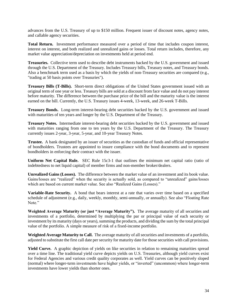advances from the U.S. Treasury of up to \$150 million. Frequent issuer of discount notes, agency notes, and callable agency securities.

**Total Return.** Investment performance measured over a period of time that includes coupon interest, interest on interest, and both realized and unrealized gains or losses. Total return includes, therefore, any market value appreciation/depreciation on investments held at period end.

**Treasuries.** Collective term used to describe debt instruments backed by the U.S. government and issued through the U.S. Department of the Treasury. Includes Treasury bills, Treasury notes, and Treasury bonds. Also a benchmark term used as a basis by which the yields of non-Treasury securities are compared (e.g., "trading at 50 basis points over Treasuries").

**Treasury Bills (T-Bills).** Short-term direct obligations of the United States government issued with an original term of one year or less. Treasury bills are sold at a discount from face value and do not pay interest before maturity. The difference between the purchase price of the bill and the maturity value is the interest earned on the bill. Currently, the U.S. Treasury issues 4-week, 13-week, and 26-week T-Bills.

**Treasury Bonds.** Long-term interest-bearing debt securities backed by the U.S. government and issued with maturities of ten years and longer by the U.S. Department of the Treasury.

**Treasury Notes.** Intermediate interest-bearing debt securities backed by the U.S. government and issued with maturities ranging from one to ten years by the U.S. Department of the Treasury. The Treasury currently issues 2-year, 3-year, 5-year, and 10-year Treasury Notes.

**Trustee.** A bank designated by an issuer of securities as the custodian of funds and official representative of bondholders. Trustees are appointed to insure compliance with the bond documents and to represent bondholders in enforcing their contract with the issuer.

**Uniform Net Capital Rule.** SEC Rule 15c3-1 that outlines the minimum net capital ratio (ratio of indebtedness to net liquid capital) of member firms and non-member broker/dealers.

**Unrealized Gains (Losses).** The difference between the market value of an investment and its book value. Gains/losses are "realized" when the security is actually sold, as compared to "unrealized" gains/losses which are based on current market value. See also "Realized Gains (Losses)."

**Variable-Rate Security.** A bond that bears interest at a rate that varies over time based on a specified schedule of adjustment (e.g., daily, weekly, monthly, semi-annually, or annually). See also "Floating Rate Note."

**Weighted Average Maturity (or just "Average Maturity").** The average maturity of all securities and investments of a portfolio, determined by multiplying the par or principal value of each security or investment by its maturity (days or years), summing the products, and dividing the sum by the total principal value of the portfolio. A simple measure of risk of a fixed-income portfolio.

**Weighted Average Maturity to Call.** The average maturity of all securities and investments of a portfolio, adjusted to substitute the first call date per security for maturity date for those securities with call provisions.

**Yield Curve.** A graphic depiction of yields on like securities in relation to remaining maturities spread over a time line. The traditional yield curve depicts yields on U.S. Treasuries, although yield curves exist for Federal Agencies and various credit quality corporates as well. Yield curves can be positively sloped (normal) where longer-term investments have higher yields, or "inverted" (uncommon) where longer-term investments have lower yields than shorter ones.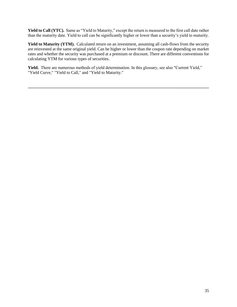**Yield to Call (YTC).** Same as "Yield to Maturity," except the return is measured to the first call date rather than the maturity date. Yield to call can be significantly higher or lower than a security's yield to maturity.

Yield to Maturity (YTM). Calculated return on an investment, assuming all cash-flows from the security are reinvested at the same original yield. Can be higher or lower than the coupon rate depending on market rates and whether the security was purchased at a premium or discount. There are different conventions for calculating YTM for various types of securities.

**Yield.** There are numerous methods of yield determination. In this glossary, see also "Current Yield," "Yield Curve," "Yield to Call," and "Yield to Maturity."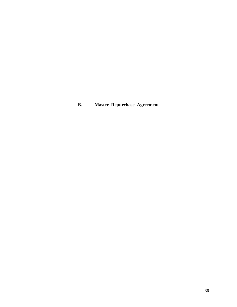**B. Master Repurchase Agreement**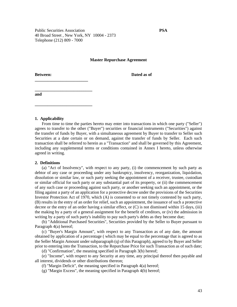Public Securities Association **PSA** 40 Broad Street , New York, NY 10004 - 2373 Telephone (212) 809 - 7000

#### **Master Repurchase Agreement**

**\_\_\_\_\_\_\_\_\_\_\_\_\_\_\_\_\_\_\_\_\_\_\_\_\_**

**\_\_\_\_\_\_\_\_\_\_\_\_\_\_\_\_\_\_\_\_\_\_\_\_\_\_\_**

**\_\_\_\_\_\_\_\_\_\_\_\_\_\_\_\_\_\_\_\_\_\_\_\_\_\_\_**

**Between:** Dated as of

**and**

#### **1. Applicability**

From time to time the parties hereto may enter into transactions in which one party ("Seller") agrees to transfer to the other ("Buyer") securities or financial instruments ("Securities") against the transfer of funds by Buyer, with a simultaneous agreement by Buyer to transfer to Seller such Securities at a date certain or on demand, against the transfer of funds by Seller. Each such transaction shall be referred to herein as a "Transaction" and shall be governed by this Agreement, including any supplemental terms or conditions contained in Annex I hereto, unless otherwise agreed in writing.

#### **2. Definitions**

(a) "Act of Insolvency", with respect to any party, (i) the commencement by such party as debtor of any case or proceeding under any bankruptcy, insolvency, reorganization, liquidation, dissolution or similar law, or such party seeking the appointment of a receiver, trustee, custodian or similar official for such party or any substantial part of its property, or (ii) the commencement of any such case or proceeding against such party, or another seeking such an appointment, or the filing against a party of an application for a protective decree under the provisions of the Securities Investor Protection Act of 1970, which (A) is consented to or not timely contested by such party, (B) results in the entry of an order for relief, such an appointment, the issuance of such a protective decree or the entry of an order having a similar effect, or (C) is not dismissed within 15 days, (iii) the making by a party of a general assignment for the benefit of creditors, or (iv) the admission in writing by a party of such party's inability to pay such party's debts as they become due;

(b) "Additional Purchased Securities", Securities provided by the Seller to Buyer pursuant to Paragraph 4(a) hereof;

(c) "Buyer's Margin Amount", with respect to any Transaction as of any date, the amount obtained by application of a percentage ( which may be equal to the percentage that is agreed to as the Seller Margin Amount under subparagraph (q) of this Paragraph), agreed to by Buyer and Seller prior to entering into the Transaction, to the Repurchase Price for such Transaction as of such date;

(d) "Confirmation", the meaning specified in Paragraph 3(b) hereof;

(e) "Income", with respect to any Security at any time, any principal thereof then payable and all interest, dividends or other distributions thereon;

(f) "Margin Deficit", the meaning specified in Paragraph 4(a) hereof;

(g) "Margin Excess", the meaning specified in Paragraph 4(b) hereof;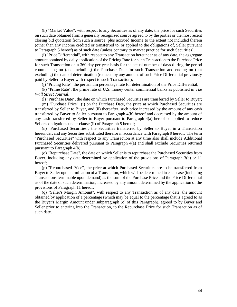(h) "Market Value", with respect to any Securities as of any date, the price for such Securities on such date obtained from a generally recognized source agreed to by the parties or the most recent closing bid quotation from such a source, plus accrued Income to the extent not included therein (other than any Income credited or transferred to, or applied to the obligations of, Seller pursuant to Paragraph 5 hereof) as of such date (unless contrary to market practice for such Securities);

(i) "Price Differential", with respect to any Transaction hereunder as of any date, the aggregate amount obtained by daily application of the Pricing Rate for such Transaction to the Purchase Price for such Transaction on a 360 day per year basis for the actual number of days during the period commencing on (and including) the Purchase Date for such Transaction and ending on (but excluding) the date of determination (reduced by any amount of such Price Differential previously paid by Seller to Buyer with respect to such Transaction);

(j) "Pricing Rate", the per annum percentage rate for determination of the Price Differential;

(k) "Prime Rate", the prime rate of U.S. money center commercial banks as published in *The Wall Street Journal;*

(l) "Purchase Date", the date on which Purchased Securities are transferred by Seller to Buyer;

(m) "Purchase Price", (i) on the Purchase Date, the price at which Purchased Securities are transferred by Seller to Buyer, and (ii) thereafter, such price increased by the amount of any cash transferred by Buyer to Seller pursuant to Paragraph 4(b) hereof and decreased by the amount of any cash transferred by Seller to Buyer pursuant to Paragraph 4(a) hereof or applied to reduce Seller's obligations under clause (ii) of Paragraph 5 hereof;

(n) "Purchased Securities", the Securities transferred by Seller to Buyer in a Transaction hereunder, and any Securities substituted therefor in accordance with Paragraph 9 hereof. The term "Purchased Securities" with respect to any Transaction at any time also shall include Additional Purchased Securities delivered pursuant to Paragraph 4(a) and shall exclude Securities returned pursuant to Paragraph 4(b);

(o) "Repurchase Date", the date on which Seller is to repurchase the Purchased Securities from Buyer, including any date determined by application of the provisions of Paragraph 3(c) or 11 hereof;

(p) "Repurchased Price", the price at which Purchased Securities are to be transferred from Buyer to Seller upon termination of a Transaction, which will be determined in each case (including Transactions terminable upon demand) as the sum of the Purchase Price and the Price Differential as of the date of such determination, increased by any amount determined by the application of the provisions of Paragraph 11 hereof;

(q) "Seller's Margin Amount", with respect to any Transaction as of any date, the amount obtained by application of a percentage (which may be equal to the percentage that is agreed to as the Buyer's Margin Amount under subparagraph (c) of this Paragraph), agreed to by Buyer and Seller prior to entering into the Transaction, to the Repurchase Price for such Transaction as of such date.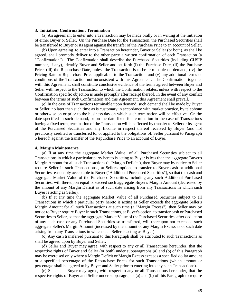#### **3. Initiation; Confirmation; Termination**

(a) An agreement to enter into a Transaction may be made orally or in writing at the initiation of either Buyer or Seller. On the Purchase Date for the Transaction, the Purchased Securities shall be transferred to Buyer or its agent against the transfer of the Purchase Price to an account of Seller.

(b) Upon agreeing to enter into a Transaction hereunder, Buyer or Seller (or both), as shall be agreed, shall promptly deliver to the other party a written confirmation of each Transaction (a "Confirmation"). The Confirmation shall describe the Purchased Securities (including CUSIP number, if any), identify Buyer and Seller and set forth (i) the Purchase Date, (ii) the Purchase Price, (iii) the Repurchase Date, unless the Transaction is to be terminable on demand, (iv) the Pricing Rate or Repurchase Price applicable to the Transaction, and (v) any additional terms or conditions of the Transaction not inconsistent with this Agreement. The Confirmation, together with this Agreement, shall constitute conclusive evidence of the terms agreed between Buyer and Seller with respect to the Transaction to which the Confirmation relates, unless with respect to the Confirmation specific objection is made promptly after receipt thereof. In the event of any conflict between the terms of such Confirmation and this Agreement, this Agreement shall prevail.

(c) In the case of Transactions terminable upon demand, such demand shall be made by Buyer or Seller, no later than such time as is customary in accordance with market practice, by telephone or otherwise on or prior to the business day on which such termination will be effective. On the date specified in such demand, or on the date fixed for termination in the case of Transactions having a fixed term, termination of the Transaction will be effected by transfer to Seller or its agent of the Purchased Securities and any Income in respect thereof received by Buyer (and not previously credited or transferred to, or applied to the obligations of, Seller pursuant to Paragraph 5 hereof) against the transfer of the Repurchase Price to an account of Buyer.

#### **4. Margin Maintenance**

(a) If at any time the aggregate Market Value of all Purchased Securities subject to all Transactions in which a particular party hereto is acting as Buyer is less than the aggregate Buyer's Margin Amount for all such Transactions (a "Margin Deficit"), then Buyer may by notice to Seller require Seller in such Transactions , at Seller's option, to transfer to Buyer cash or additional Securities reasonably acceptable to Buyer ("Additional Purchased Securities"), so that the cash and aggregate Market Value of the Purchased Securities, including any such Additional Purchased Securities, will thereupon equal or exceed such aggregate Buyer's Margin Amount (decreased by the amount of any Margin Deficit as of such date arising from any Transactions in which such Buyer is acting as Seller).

(b) If at any time the aggregate Market Value of all Purchased Securities subject to all Transactions in which a particular party hereto is acting as Seller exceeds the aggregate Seller's Margin Amount for all such Transactions at such time (a "Margin Excess"), then Seller may by notice to Buyer require Buyer in such Transactions, at Buyer's option, to transfer cash or Purchased Securities to Seller, so that the aggregate Market Value of the Purchased Securities, after deduction of any such cash or any Purchased Securities so transferred, will thereupon not exceeded such aggregate Seller's Margin Amount (increased by the amount of any Margin Excess as of such date arising from any Transactions in which such Seller is acting as Buyer).

(c) Any cash transferred pursuant to this Paragraph shall be attributed to such Transactions as shall be agreed upon by Buyer and Seller.

(d) Seller and Buyer may agree, with respect to any or all Transactions hereunder, that the respective rights of Buyer and Seller (or both) under subparagraphs (a) and (b) of this Paragraph may be exercised only where a Margin Deficit or Margin Excess exceeds a specified dollar amount or a specified percentage of the Repurchase Prices for such Transactions (which amount or percentage shall be agreed to by Buyer and Seller prior to entering into any such Transactions).

(e) Seller and Buyer may agree, with respect to any or all Transactions hereunder, that the respective rights of Buyer and Seller under subparagraphs (a) and (b) of this Paragraph to require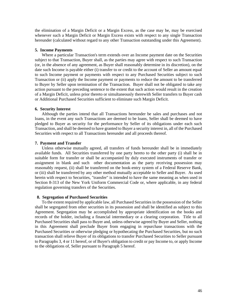the elimination of a Margin Deficit or a Margin Excess, as the case may be, may be exercised whenever such a Margin Deficit or Margin Excess exists with respect to any single Transaction hereunder (calculated without regard to any other Transaction outstanding under this Agreement).

#### **5. Income Payments**

Where a particular Transaction's term extends over an Income payment date on the Securities subject to that Transaction, Buyer shall, as the parties may agree with respect to such Transaction (or, in the absence of any agreement, as Buyer shall reasonably determine in its discretion), on the date such Income is payable either (i) transfer to or credit to the account of Seller an amount equal to such Income payment or payments with respect to any Purchased Securities subject to such Transaction or (ii) apply the Income payment or payments to reduce the amount to be transferred to Buyer by Seller upon termination of the Transaction. Buyer shall not be obligated to take any action pursuant to the preceding sentence to the extent that such action would result in the creation of a Margin Deficit, unless prior thereto or simultaneously therewith Seller transfers to Buyer cash or Additional Purchased Securities sufficient to eliminate such Margin Deficit.

#### **6. Security Interest**

Although the parties intend that all Transactions hereunder be sales and purchases and not loans, in the event any such Transactions are deemed to be loans, Seller shall be deemed to have pledged to Buyer as security for the performance by Seller of its obligations under each such Transaction, and shall be deemed to have granted to Buyer a security interest in, all of the Purchased Securities with respect to all Transactions hereunder and all proceeds thereof.

## **7. Payment and Transfer**

Unless otherwise mutually agreed, all transfers of funds hereunder shall be in immediately available funds. All Securities transferred by one party hereto to the other party (i) shall be in suitable form for transfer or shall be accompanied by duly executed instruments of transfer or assignment in blank and such other documentation as the party receiving possession may reasonably request, (ii) shall be transferred on the book-entry system of a Federal Reserve Bank, or (iii) shall be transferred by any other method mutually acceptable to Seller and Buyer. As used herein with respect to Securities, "transfer" is intended to have the same meaning as when used in Section 8-313 of the New York Uniform Commercial Code or, where applicable, in any federal regulation governing transfers of the Securities.

#### **8. Segregation of Purchased Securities**

To the extent required by applicable law, all Purchased Securities in the possession of the Seller shall be segregated from other securities in its possession and shall be identified as subject to this Agreement. Segregation may be accomplished by appropriate identification on the books and records of the holder, including a financial intermediary or a clearing corporation. Title to all Purchased Securities shall pass to Buyer and, unless otherwise agreed by Buyer and Seller, nothing in this Agreement shall preclude Buyer from engaging in repurchase transactions with the Purchased Securities or otherwise pledging or hypothecating the Purchased Securities, but no such transaction shall relieve Buyer of its obligations to transfer Purchased Securities to Seller pursuant to Paragraphs 3, 4 or 11 hereof, or of Buyer's obligation to credit or pay Income to, or apply Income to the obligations of, Seller pursuant to Paragraph 5 hereof.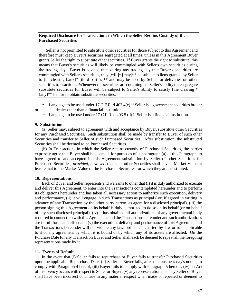## **Required Disclosure for Transactions in Which the Seller Retains Custody of the Purchased Securities**

Seller is not permitted to substitute other securities for those subject to this Agreement and therefore must keep Buyer's securities segregated at all times, unless in this Agreement Buyer grants Seller the right to substitute other securities. If Buyer grants the right to substitute, this means that Buyer's securities will likely be commingled with Seller's own securities during the trading day. Buyer is advised that, during any trading day that Buyer's securities are commingled with Seller's securities, they [will]\* [may]\*\* be subject to liens granted by Seller to [its clearing bank]\* [third parties]\*\* and may be used by Seller for deliveries on other securities transactions. Whenever the securities are commingled, Seller's ability to resegregate substitute securities for Buyer will be subject to Seller's ability to satisfy [the clearing]\* [any]\*\* lien or to obtain substitute securities.

- \* Language to be used under 17 C.F.R**.** d 403.4(e) if Seller is a government securities broker or dealer other than a financial institution.
	- \*\* Language to be used under 17 C.F.R. d 403.5 (d) if Seller is a financial institution.

#### **9. Substitution**

(a) Seller may, subject to agreement with and acceptance by Buyer, substitute other Securities for any Purchased Securities. Such substitution shall be made by transfer to Buyer of such other Securities and transfer to Seller of such Purchased Securities. After substitution, the substituted Securities shall be deemed to be Purchased Securities.

(b) In Transactions in which the Seller retains custody of Purchased Securities, the parties expressly agree that Buyer shall be deemed, for purposes of subparagraph (a) of this Paragraph, to have agreed to and accepted in this Agreement substitution by Seller of other Securities for Purchased Securities; *provided, however,* that such other Securities shall have a Market Value at least equal to the Market Value of the Purchased Securities for which they are substituted.

#### **10. Representations**

Each of Buyer and Seller represents and warrants to other that (i) it is duly authorized to execute and deliver this Agreement, to enter into the Transactions contemplated hereunder and to perform its obligations hereunder and has taken all necessary action to authorize such execution, delivery and performance, (ii) it will engage in such Transactions as principal ( or, if agreed in writing in advance of any Transaction by the other party hereto, as agent for a disclosed principal), (iii) the person signing this Agreement on its behalf is duly authorized to do so on its behalf (or on behalf of any such disclosed principal), (iv) it has obtained all authorizations of any governmental body required in connection with this Agreement and the Transactions hereunder and such authorizations are in full force and effect and (v) the execution, delivery and performance of this Agreement and the Transactions hereunder will not violate any law, ordinance, charter, by-law or rule applicable to it or any agreement by which it is bound or by which any of its assets are affected. On the Purchase Date for any Transaction Buyer and Seller shall each be deemed to repeat all the foregoing representations made by it.

#### **11. Events of Default**

In the event that (i) Seller fails to repurchase or Buyer fails to transfer Purchased Securities upon the applicable Repurchase Date, (ii) Seller or Buyer fails, after one business day's notice, to comply with Paragraph 4 hereof, (iii) Buyer fails to comply with Paragraph 5 hereof , (iv) an Act of Insolvency occurs with respect to Seller or Buyer, (v) any representation made by Seller or Buyer shall have been incorrect or untrue in any material respect when made or repeated or deemed to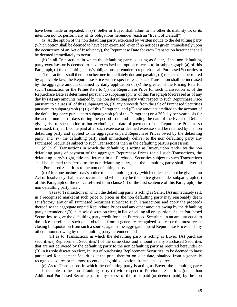have been made or repeated, or (vi) Seller or Buyer shall admit to the other its inability to, or its intention not to, perform any of its obligations hereunder (each an "Event of Default"):

(a) At the option of the non defaulting party, exercised by written notice to the defaulting party (which option shall be deemed to have been exercised, even if no notice is given, immediately upon the occurrence of an Act of Insolvency), the Repurchase Date for each Transaction hereunder shall be deemed immediately to occur.

(b) In all Transactions in which the defaulting party is acting as Seller, if the non defaulting party exercises or is deemed to have exercised the option referred to in subparagraph (a) of this Paragraph, (i) the defaulting party's obligations hereunder to repurchase all Purchased Securities in such Transactions shall thereupon become immediately due and payable, (ii) to the extent permitted by applicable law, the Repurchase Price with respect to each such Transaction shall be increased by the aggregate amount obtained by daily application of (x) the greater of the Pricing Rate for such Transaction or the Prime Rate to (y) the Repurchase Price for such Transaction as of the Repurchase Date as determined pursuant to subparagraph (a) of this Paragraph (decreased as of any day by (A) any amounts retained by the non defaulting party with respect to such Repurchase Price pursuant to clause (iii) of this subparagraph, (B) any proceeds from the sale of Purchased Securities pursuant to subparagraph (d) (i) of this Paragraph, and (C) any amounts credited to the account of the defaulting party pursuant to subparagraph (e) of this Paragraph) on a 360 day per year basis for the actual number of days during the period from and including the date of the Event of Default giving rise to such option to but excluding the date of payment of the Repurchase Price as so increased, (iii) all Income paid after such exercise or deemed exercise shall be retained by the non defaulting party and applied to the aggregate unpaid Repurchase Prices owed by the defaulting party, and (iv) the defaulting party shall immediately deliver to the non defaulting party any Purchased Securities subject to such Transactions then in the defaulting party's possession.

(c) In all Transactions in which the defaulting is acting as Buyer, upon tender by the non defaulting party of payment of the aggregate Repurchase Prices for all such Transactions, the defaulting party's right, title and interest in all Purchased Securities subject to such Transactions shall be deemed transferred to the non defaulting party, and the defaulting party shall deliver all such Purchased Securities to the non defaulting party.

(d) After one business day's notice to the defaulting party (which notice need not be given if an Act of Insolvency shall have occurred, and which may be the notice given under subparagraph (a) of this Paragraph or the notice referred to in clause (ii) of the first sentence of this Paragraph), the non defaulting party may :

(i) as to Transactions in which the defaulting party is acting as Seller, (A) immediately sell, in a recognized market at such price or prices as the non defaulting party may reasonably deem satisfactory, any or all Purchased Securities subject to such Transactions and apply the proceeds thereof to the aggregate unpaid Repurchase Prices and any other amounts owing by the defaulting party hereunder or (B) in its sole discretion elect, in lieu of selling all or a portion of such Purchased Securities, to give the defaulting party credit for such Purchased Securities in an amount equal to the price therefor on such date, obtained from a generally recognized source or the most recent closing bid quotation from such a source, against the aggregate unpaid Repurchase Prices and any other amounts owing by the defaulting party hereunder, and

(ii) as to Transactions in which the defaulting party is acting as Buyer, (A) purchase securities ("Replacement Securities") of the same class and amount as any Purchased Securities that are not delivered by the defaulting party to the non defaulting party as required hereunder or (B) in its sole discretion elect, in lieu of purchasing Replacement Securities, to be deemed to have purchased Replacement Securities at the price therefor on such date, obtained from a generally recognized source or the most recent closing bid quotation from such a source.

(e) As to Transactions in which the defaulting party is acting as Buyer, the defaulting party shall be liable to the non defaulting party (i) with respect to Purchased Securities (other than Additional Purchased Securities), for any excess of the price paid (or deemed paid) by the non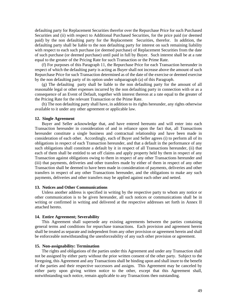defaulting party for Replacement Securities therefor over the Repurchase Price for such Purchased Securities and (ii) with respect to Additional Purchased Securities, for the price paid (or deemed paid) by the non defaulting party for the Replacement Securities, therefor. In addition, the defaulting party shall be liable to the non defaulting party for interest on such remaining liability with respect to each such purchase (or deemed purchase) of Replacement Securities from the date of such purchase (or deemed purchase) until paid in full by Buyer. Such interest shall be at a rate equal to the greater of the Pricing Rate for such Transaction or the Prime Rate.

(f) For purposes of this Paragraph 11, the Repurchase Price for each Transaction hereunder in respect of which the defaulting party is acting as Buyer shall not increase above the amount of such Repurchase Price for such Transaction determined as of the date of the exercise or deemed exercise by the non defaulting party of its option under subparagraph (a) of this Paragraph.

(g) The defaulting party shall be liable to the non defaulting party for the amount of all reasonable legal or other expenses incurred by the non defaulting party in connection with or as a consequence of an Event of Default, together with interest thereon at a rate equal to the greater of the Pricing Rate for the relevant Transaction or the Prime Rate.

(h) The non defaulting party shall have, in addition to its rights hereunder, any rights otherwise available to it under any other agreement or applicable law.

#### **12. Single Agreement**

Buyer and Seller acknowledge that, and have entered hereunto and will enter into each Transaction hereunder in consideration of and in reliance upon the fact that, all Transactions hereunder constitute a single business and contractual relationship and have been made in consideration of each other. Accordingly, each of Buyer and Seller agrees (i) to perform all of its obligations in respect of each Transaction hereunder, and that a default in the performance of any such obligations shall constitute a default by it in respect of all Transactions hereunder, (ii) that each of them shall be entitled to set off claims and apply property held by them in respect of any Transaction against obligations owing to them in respect of any other Transactions hereunder and (iii) that payments, deliveries and other transfers made by either of them in respect of any other Transaction shall be deemed to have been made in consideration of payments, deliveries and other transfers in respect of any other Transactions hereunder, and the obligations to make any such payments, deliveries and other transfers may be applied against each other and netted.

#### **13. Notices and Other Communications**

Unless another address is specified in writing by the respective party to whom any notice or other communication is to be given hereunder, all such notices or communications shall be in writing or confirmed in writing and delivered at the respective addresses set forth in Annex II attached hereto.

#### **14. Entire Agreement; Severability**

This Agreement shall supersede any existing agreements between the parties containing general terms and conditions for repurchase transactions. Each provision and agreement herein shall be treated as separate and independent from any other provision or agreement herein and shall be enforceable notwithstanding the unenforceability of any such other provision or agreement.

#### **15. Non-assignability: Termination**

The rights and obligations of the parties under this Agreement and under any Transaction shall not be assigned by either party without the prior written consent of the other party. Subject to the foregoing, this Agreement and any Transactions shall be binding upon and shall inure to the benefit of the parties and their respective successors and assigns. This Agreement may be canceled by either party upon giving written notice to the other, except that this Agreement shall, notwithstanding such notice, remain applicable to any Transactions then outstanding.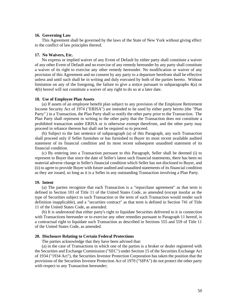#### **16. Governing Law**

This Agreement shall be governed by the laws of the State of New York without giving effect to the conflict of law principles thereof.

#### **17. No Waivers, Etc.**

No express or implied waiver of any Event of Default by either party shall constitute a waiver of any other Event of Default and no exercise of any remedy hereunder by any party shall constitute a waiver of its right to exercise any other remedy hereunder. No modification or waiver of any provision of this Agreement and no consent by any party to a departure herefrom shall be effective unless and until such shall be in writing and duly executed by both of the parties hereto. Without limitation on any of the foregoing, the failure to give a notice pursuant to subparagraphs 4(a) or 4(b) hereof will not constitute a waiver of any right to do so at a later date.

#### **18. Use of Employee Plan Assets**

(a) If assets of an employee benefit plan subject to any provision of the Employee Retirement Income Security Act of 1974 ("ERISA") are intended to be used by either party hereto (the "Plan Party" ) in a Transaction, the Plan Party shall so notify the other party prior to the Transaction. The Plan Party shall represent in writing to the other party that the Transaction does not constitute a prohibited transaction under ERISA or is otherwise exempt therefrom, and the other party may proceed in reliance thereon but shall not be required so to proceed.

(b) Subject to the last sentence of subparagraph (a) of this Paragraph, any such Transaction shall proceed only if Seller furnishes or has furnished to Buyer its most recent available audited statement of its financial condition and its most recent subsequent unaudited statement of its financial condition.

(c) By entering into a Transaction pursuant to this Paragraph, Seller shall be deemed (i) to represent to Buyer that since the date of Seller's latest such financial statements, there has been no material adverse change in Seller's financial condition which Seller has not disclosed to Buyer, and (ii) to agree to provide Buyer with future audited and unaudited statements of its financial condition as they are issued, so long as it is a Seller in any outstanding Transaction involving a Plan Party.

#### **19. Intent**

(a) The parties recognize that each Transaction is a "repurchase agreement" as that term is defined in Section 101 of Title 11 of the United States Code, as amended (except insofar as the type of Securities subject to such Transaction or the term of such Transaction would render such definition inapplicable), and a "securities contract" as that term is defined in Section 741 of Title 11 of the United States Code, as amended.

(b) It is understood that either party's right to liquidate Securities delivered to it in connection with Transactions hereunder or to exercise any other remedies pursuant to Paragraph 11 hereof, is a contractual right to liquidate such Transaction as described in Sections 555 and 559 of Title 11 of the United States Code, as amended.

#### **20. Disclosure Relating to Certain Federal Protections**

The parties acknowledge that they have been advised that:

(a) in the case of Transactions in which one of the parties is a broker or dealer registered with the Securities and Exchange Commission ("SEC") under Section 15 of the Securities Exchange Act of 1934 ("1934 Act"), the Securities Investor Protection Corporation has taken the position that the provisions of the Securities Investor Protection Act of 1970 ("SIPA") do not protect the other party with respect to any Transaction hereunder;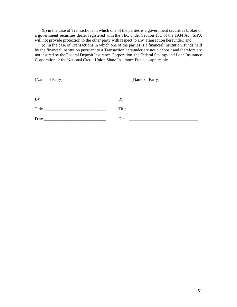(b) in the case of Transactions in which one of the parties is a government securities broker or a government securities dealer registered with the SEC under Section 15C of the 1934 Act, SIPA will not provide protection to the other party with respect to any Transaction hereunder; and

(c) in the case of Transactions in which one of the parties is a financial institution, funds held by the financial institution pursuant to a Transaction hereunder are not a deposit and therefore are not insured by the Federal Deposit Insurance Corporation, the Federal Savings and Loan Insurance Corporation or the National Credit Union Share Insurance Fund, as applicable.

| [Name of Party]                                                                                                               | [Name of Party]                                                     |
|-------------------------------------------------------------------------------------------------------------------------------|---------------------------------------------------------------------|
|                                                                                                                               |                                                                     |
| By                                                                                                                            | $\mathbf{B} \mathbf{v}$                                             |
|                                                                                                                               | Title                                                               |
| Date<br><u> 1999 - Johann Harry Harry Harry Harry Harry Harry Harry Harry Harry Harry Harry Harry Harry Harry Harry Harry</u> | Date<br><u> 1989 - Andrea Stadt Britain, amerikansk politiker (</u> |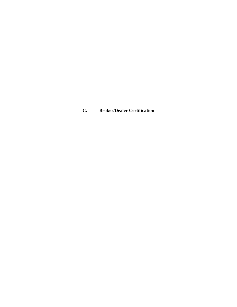**C. Broker/Dealer Certification**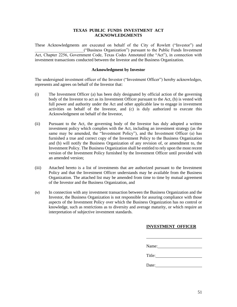## **TEXAS PUBLIC FUNDS INVESTMENT ACT ACKNOWLEDGMENTS**

These Acknowledgments are executed on behalf of the City of Rowlett ("Investor") and \_\_\_\_\_\_\_\_\_\_\_\_\_\_\_\_\_\_\_\_\_\_\_("Business Organization") pursuant to the Public Funds Investment Act, Chapter 2256, Government Code, Texas Codes Annotated (the "Act"), in connection with investment transactions conducted between the Investor and the Business Organization.

#### **Acknowledgment by Investor**

The undersigned investment officer of the Investor ("Investment Officer") hereby acknowledges, represents and agrees on behalf of the Investor that:

- (i) The Investment Officer (a) has been duly designated by official action of the governing body of the Investor to act as its Investment Officer pursuant to the Act, (b) is vested with full power and authority under the Act and other applicable law to engage in investment activities on behalf of the Investor, and (c) is duly authorized to execute this Acknowledgment on behalf of the Investor,
- (ii) Pursuant to the Act, the governing body of the Investor has duly adopted a written investment policy which complies with the Act, including an investment strategy (as the same may be amended, the "Investment Policy"), and the Investment Officer (a) has furnished a true and correct copy of the Investment Policy to the Business Organization and (b) will notify the Business Organization of any revision of, or amendment to, the Investment Policy. The Business Organization shall be entitled to rely upon the most recent version of the Investment Policy furnished by the Investment Officer until provided with an amended version;
- (iii) Attached hereto is a list of investments that are authorized pursuant to the Investment Policy and that the Investment Officer understands may be available from the Business Organization. The attached list may be amended from time to time by mutual agreement of the Investor and the Business Organization, and
- (iv) In connection with any investment transaction between the Business Organization and the Investor, the Business Organization is not responsible for assuring compliance with those aspects of the Investment Policy over which the Business Organization has no control or knowledge, such as restrictions as to diversity and average maturity, or which require an interpretation of subjective investment standards.

## **INVESTMENT OFFICER**

Name:

Title:

Date: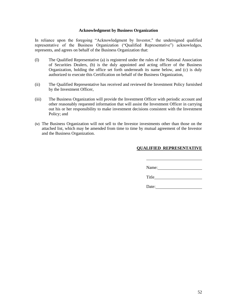#### **Acknowledgment by Business Organization**

In reliance upon the foregoing "Acknowledgment by Investor," the undersigned qualified representative of the Business Organization ("Qualified Representative") acknowledges, represents, and agrees on behalf of the Business Organization that:

- (I) The Qualified Representative (a) is registered under the rules of the National Association of Securities Dealers, (b) is the duly appointed and acting officer of the Business Organization, holding the office set forth underneath its name below, and (c) is duly authorized to execute this Certification on behalf of the Business Organization,
- (ii) The Qualified Representative has received and reviewed the Investment Policy furnished by the Investment Officer,
- (iii) The Business Organization will provide the Investment Officer with periodic account and other reasonably requested information that will assist the Investment Officer in carrying out his or her responsibility to make investment decisions consistent with the Investment Policy; and
- (iv) The Business Organization will not sell to the Investor investments other than those on the attached list, which may be amended from time to time by mutual agreement of the Investor and the Business Organization.

## **QUALIFIED REPRESENTATIVE**

Name:

| Title |  |  |  |
|-------|--|--|--|
|       |  |  |  |

Date: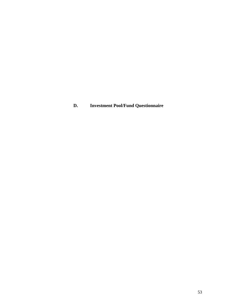**D. Investment Pool/Fund Questionnaire**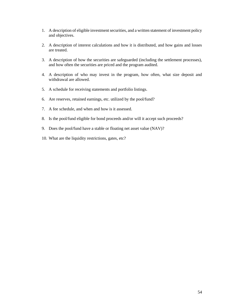- 1. A description of eligible investment securities, and a written statement of investment policy and objectives.
- 2. A description of interest calculations and how it is distributed, and how gains and losses are treated.
- 3. A description of how the securities are safeguarded (including the settlement processes), and how often the securities are priced and the program audited.
- 4. A description of who may invest in the program, how often, what size deposit and withdrawal are allowed.
- 5. A schedule for receiving statements and portfolio listings.
- 6. Are reserves, retained earnings, etc. utilized by the pool/fund?
- 7. A fee schedule, and when and how is it assessed.
- 8. Is the pool/fund eligible for bond proceeds and/or will it accept such proceeds?
- 9. Does the pool/fund have a stable or floating net asset value (NAV)?
- 10. What are the liquidity restrictions, gates, etc?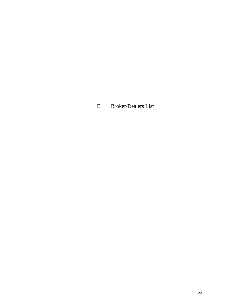E. Broker/Dealers List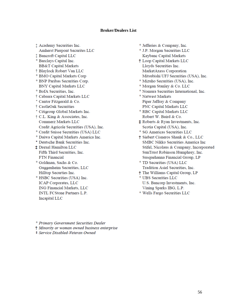## **Broker/Dealers List**

- <sup>†</sup> Academy Securities Inc.
- Amherst Pierpont Securites LLC
- ‡ Bancroft Capital LLC
- \* Barclays Capital Inc. **BB&T** Capital Markets
- † Blaylock Robert Van LLC
- \* BMO Capital Markets Corp
- \* BNP Paribas Securities Corp. **BNY Capital Markets LLC**
- \* BofA Securities, Inc.
- † Cabrera Capital Markets LLC
- \* Cantor Fitzgerald & Co.
- † CastleOak Securities
- \* Citigroup Global Markets Inc.
- † C.L. King & Associates, Inc. Commerz Markets LLC Credit Agricole Securities (USA), Inc.
- \* Credit Suisse Securities (USA) LLC
- \* Daiwa Capital Markets America Inc.
- \* Deutsche Bank Securities Inc.
- **‡** Drexel Hamilton LLC Fifth Third Securities, Inc. **FTN Financial**
- \* Goldman, Sachs & Co. Guggenheim Securities, LLC Hilltop Securties Inc.
- \* HSBC Securities (USA) Inc. ICAP Corporates, LLC ING Financial Markets, LLC INTL FCStone Partners L.P. **Incapital LLC**
- \* Jefferies & Company, Inc.
- \* J.P. Morgan Securities LLC Keybanc Capital Markets
- <sup>†</sup> Loop Capital Markets LLC Lloyds Securities Inc. MarketAxess Corporation
- Mitsubishi UFJ Securities (USA), Inc.
- \* Mizuho Securities (USA), Inc.
- \* Morgan Stanley & Co. LLC
- \* Nomura Securities International, Inc.
- \* Natwest Markets Piper Jaffray & Company PNC Capital Markets LLC
- \* RBC Capital Markets LLC Robert W. Baird & Co.
- # Roberts & Ryan Investments, Inc. Scotia Capital (USA), Inc.
- \* SG Americas Securities LLC
- + Siebert Cisneros Shank & Co., LLC SMBC Nikko Securities America Inc Stifel, Nicolaus & Company, Incorporated SunTrust Robinson Humphrey, Inc. Susquehanna Financial Group, LP
- \* TD Securities (USA) LLC Tradition Asiel Securities, Inc.
- <sup>†</sup> The Williams Capital Group, LP
- \* UBS Securities LLC U.S. Bancorp Investments, Inc. Vining Sparks IBG, L.P.
- \* Wells Fargo Securities LLC

\* Primary Government Securities Dealer

- † Minority or woman owned business enterprise
- # Service Disabled-Veteran Owned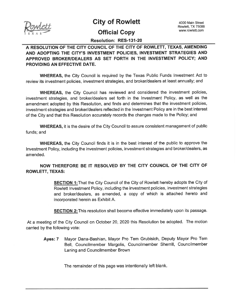

**City of Rowlett** 

## **Official Copy**

4000 Main Street Rowlett, TX 75088 www.rowlett.com

## Resolution: RES-131-20

A RESOLUTION OF THE CITY COUNCIL OF THE CITY OF ROWLETT, TEXAS, AMENDING AND ADOPTING THE CITY'S INVESTMENT POLICIES, INVESTMENT STRATEGIES AND APPROVED BROKER/DEALERS AS SET FORTH IN THE INVESTMENT POLICY: AND PROVIDING AN EFFECTIVE DATE.

**WHEREAS.** the City Council is required by the Texas Public Funds Investment Act to review its investment policies, investment strategies, and broker/dealers at least annually; and

WHEREAS, the City Council has reviewed and considered the investment policies, investment strategies, and broker/dealers set forth in the Investment Policy, as well as the amendment adopted by this Resolution, and finds and determines that the investment policies, investment strategies and broker/dealers reflected in the Investment Policy are in the best interest of the City and that this Resolution accurately records the changes made to the Policy; and

**WHEREAS, it is the desire of the City Council to assure consistent management of public** funds; and

**WHEREAS, the City Council finds it is in the best interest of the public to approve the** Investment Policy, including the investment policies, investment strategies and broker/dealers, as amended.

NOW THEREFORE BE IT RESOLVED BY THE CITY COUNCIL OF THE CITY OF **ROWLETT, TEXAS:** 

> **SECTION 1: That the City Council of the City of Rowlett hereby adopts the City of** Rowlett Investment Policy, including the investment policies, investment strategies and broker/dealers, as amended, a copy of which is attached hereto and incorporated herein as Exhibit A.

> **SECTION 2: This resolution shall become effective immediately upon its passage.**

At a meeting of the City Council on October 20, 2020 this Resolution be adopted. The motion carried by the following vote:

Mayor Dana-Bashian, Mayor Pro Tem Grubisich, Deputy Mayor Pro Tem Ayes: 7 Bell, Councilmember Margolis, Councilmember Sherrill, Councilmember Laning and Councilmember Brown

The remainder of this page was intentionally left blank.